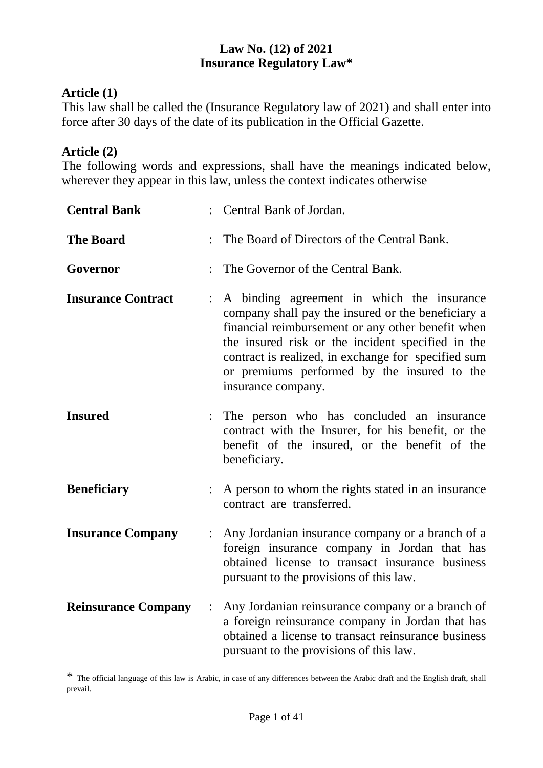#### **Law No. (12) of 2021 Insurance Regulatory Law\***

#### **Article (1)**

This law shall be called the (Insurance Regulatory law of 2021) and shall enter into force after 30 days of the date of its publication in the Official Gazette.

#### **Article (2)**

The following words and expressions, shall have the meanings indicated below, wherever they appear in this law, unless the context indicates otherwise

| <b>Central Bank</b>        |                | : Central Bank of Jordan.                                                                                                                                                                                                                                                                                                              |
|----------------------------|----------------|----------------------------------------------------------------------------------------------------------------------------------------------------------------------------------------------------------------------------------------------------------------------------------------------------------------------------------------|
| <b>The Board</b>           |                | The Board of Directors of the Central Bank.                                                                                                                                                                                                                                                                                            |
| Governor                   |                | The Governor of the Central Bank.                                                                                                                                                                                                                                                                                                      |
| <b>Insurance Contract</b>  | $\ddot{\cdot}$ | A binding agreement in which the insurance<br>company shall pay the insured or the beneficiary a<br>financial reimbursement or any other benefit when<br>the insured risk or the incident specified in the<br>contract is realized, in exchange for specified sum<br>or premiums performed by the insured to the<br>insurance company. |
| <b>Insured</b>             |                | The person who has concluded an insurance<br>contract with the Insurer, for his benefit, or the<br>benefit of the insured, or the benefit of the<br>beneficiary.                                                                                                                                                                       |
| <b>Beneficiary</b>         |                | A person to whom the rights stated in an insurance<br>contract are transferred.                                                                                                                                                                                                                                                        |
| <b>Insurance Company</b>   | $\ddot{\cdot}$ | Any Jordanian insurance company or a branch of a<br>foreign insurance company in Jordan that has<br>obtained license to transact insurance business<br>pursuant to the provisions of this law.                                                                                                                                         |
| <b>Reinsurance Company</b> | $\ddot{\cdot}$ | Any Jordanian reinsurance company or a branch of<br>a foreign reinsurance company in Jordan that has<br>obtained a license to transact reinsurance business<br>pursuant to the provisions of this law.                                                                                                                                 |

\* The official language of this law is Arabic, in case of any differences between the Arabic draft and the English draft, shall prevail.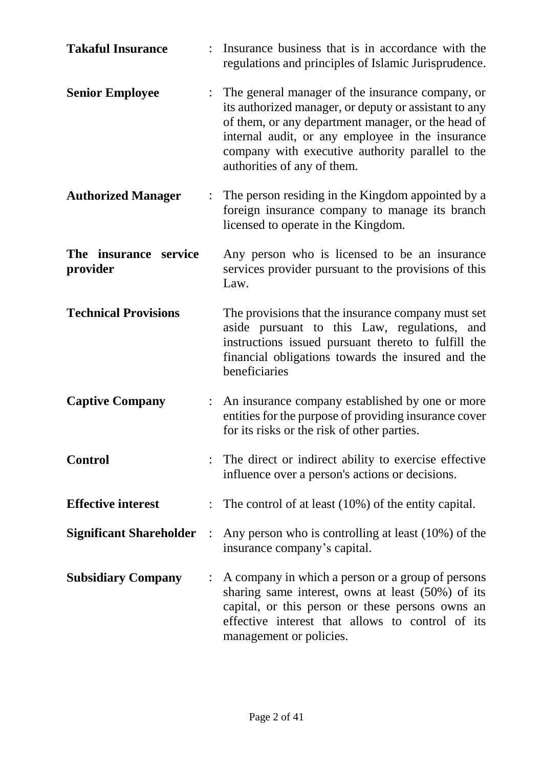| <b>Takaful Insurance</b>          |                | Insurance business that is in accordance with the<br>regulations and principles of Islamic Jurisprudence.                                                                                                                                                                                              |
|-----------------------------------|----------------|--------------------------------------------------------------------------------------------------------------------------------------------------------------------------------------------------------------------------------------------------------------------------------------------------------|
| <b>Senior Employee</b>            |                | The general manager of the insurance company, or<br>its authorized manager, or deputy or assistant to any<br>of them, or any department manager, or the head of<br>internal audit, or any employee in the insurance<br>company with executive authority parallel to the<br>authorities of any of them. |
| <b>Authorized Manager</b>         |                | The person residing in the Kingdom appointed by a<br>foreign insurance company to manage its branch<br>licensed to operate in the Kingdom.                                                                                                                                                             |
| The insurance service<br>provider |                | Any person who is licensed to be an insurance<br>services provider pursuant to the provisions of this<br>Law.                                                                                                                                                                                          |
| <b>Technical Provisions</b>       |                | The provisions that the insurance company must set<br>aside pursuant to this Law, regulations, and<br>instructions issued pursuant thereto to fulfill the<br>financial obligations towards the insured and the<br>beneficiaries                                                                        |
| <b>Captive Company</b>            |                | An insurance company established by one or more<br>entities for the purpose of providing insurance cover<br>for its risks or the risk of other parties.                                                                                                                                                |
| <b>Control</b>                    |                | The direct or indirect ability to exercise effective<br>influence over a person's actions or decisions.                                                                                                                                                                                                |
| <b>Effective interest</b>         |                | The control of at least $(10\%)$ of the entity capital.                                                                                                                                                                                                                                                |
| <b>Significant Shareholder</b>    | $\mathbb{R}^2$ | Any person who is controlling at least (10%) of the<br>insurance company's capital.                                                                                                                                                                                                                    |
| <b>Subsidiary Company</b>         |                | A company in which a person or a group of persons<br>sharing same interest, owns at least (50%) of its<br>capital, or this person or these persons owns an<br>effective interest that allows to control of its<br>management or policies.                                                              |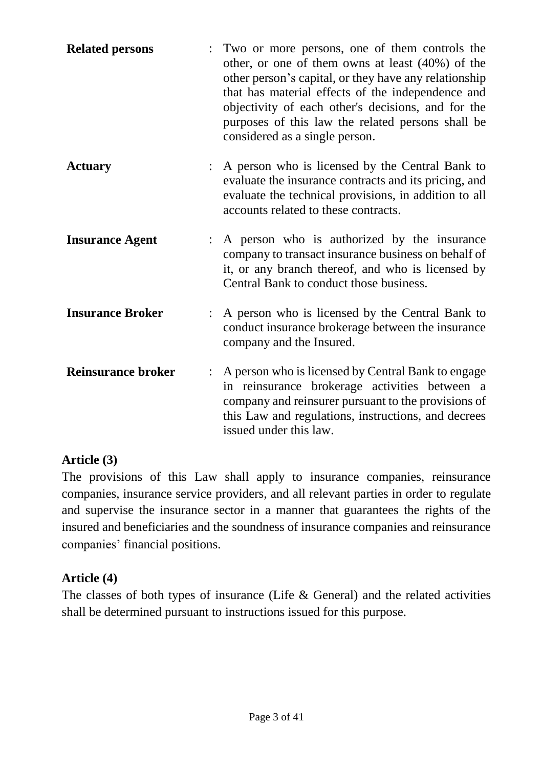| <b>Related persons</b>    | : Two or more persons, one of them controls the<br>other, or one of them owns at least $(40\%)$ of the<br>other person's capital, or they have any relationship<br>that has material effects of the independence and<br>objectivity of each other's decisions, and for the<br>purposes of this law the related persons shall be<br>considered as a single person. |
|---------------------------|-------------------------------------------------------------------------------------------------------------------------------------------------------------------------------------------------------------------------------------------------------------------------------------------------------------------------------------------------------------------|
| <b>Actuary</b>            | A person who is licensed by the Central Bank to<br>evaluate the insurance contracts and its pricing, and<br>evaluate the technical provisions, in addition to all<br>accounts related to these contracts.                                                                                                                                                         |
| <b>Insurance Agent</b>    | A person who is authorized by the insurance<br>company to transact insurance business on behalf of<br>it, or any branch thereof, and who is licensed by<br>Central Bank to conduct those business.                                                                                                                                                                |
| <b>Insurance Broker</b>   | A person who is licensed by the Central Bank to<br>conduct insurance brokerage between the insurance<br>company and the Insured.                                                                                                                                                                                                                                  |
| <b>Reinsurance broker</b> | A person who is licensed by Central Bank to engage<br>in reinsurance brokerage activities between a<br>company and reinsurer pursuant to the provisions of<br>this Law and regulations, instructions, and decrees<br>issued under this law.                                                                                                                       |

#### **Article (3)**

The provisions of this Law shall apply to insurance companies, reinsurance companies, insurance service providers, and all relevant parties in order to regulate and supervise the insurance sector in a manner that guarantees the rights of the insured and beneficiaries and the soundness of insurance companies and reinsurance companies' financial positions.

#### **Article (4)**

The classes of both types of insurance (Life  $&$  General) and the related activities shall be determined pursuant to instructions issued for this purpose.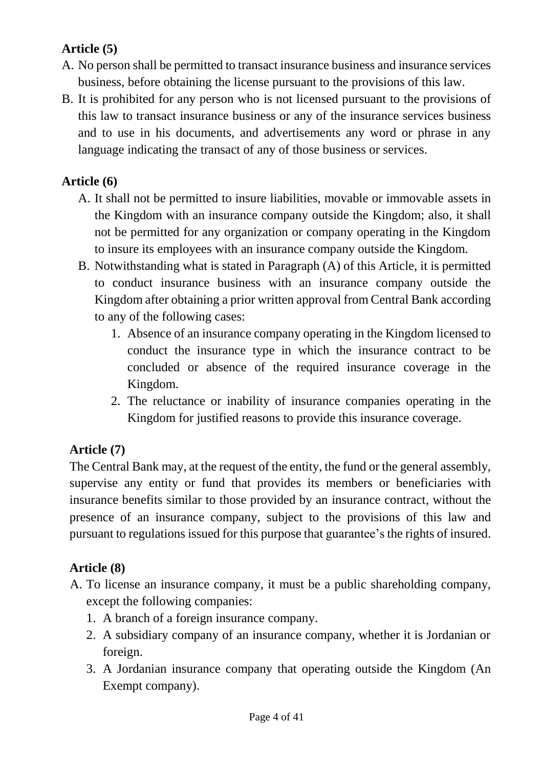## **Article (5)**

- A. No person shall be permitted to transact insurance business and insurance services business, before obtaining the license pursuant to the provisions of this law.
- B. It is prohibited for any person who is not licensed pursuant to the provisions of this law to transact insurance business or any of the insurance services business and to use in his documents, and advertisements any word or phrase in any language indicating the transact of any of those business or services.

### **Article (6)**

- A. It shall not be permitted to insure liabilities, movable or immovable assets in the Kingdom with an insurance company outside the Kingdom; also, it shall not be permitted for any organization or company operating in the Kingdom to insure its employees with an insurance company outside the Kingdom.
- B. Notwithstanding what is stated in Paragraph (A) of this Article, it is permitted to conduct insurance business with an insurance company outside the Kingdom after obtaining a prior written approval from Central Bank according to any of the following cases:
	- 1. Absence of an insurance company operating in the Kingdom licensed to conduct the insurance type in which the insurance contract to be concluded or absence of the required insurance coverage in the Kingdom.
	- 2. The reluctance or inability of insurance companies operating in the Kingdom for justified reasons to provide this insurance coverage.

## **Article (7)**

The Central Bank may, at the request of the entity, the fund or the general assembly, supervise any entity or fund that provides its members or beneficiaries with insurance benefits similar to those provided by an insurance contract, without the presence of an insurance company, subject to the provisions of this law and pursuant to regulations issued for this purpose that guarantee's the rights of insured.

## **Article (8)**

- A. To license an insurance company, it must be a public shareholding company, except the following companies:
	- 1. A branch of a foreign insurance company.
	- 2. A subsidiary company of an insurance company, whether it is Jordanian or foreign.
	- 3. A Jordanian insurance company that operating outside the Kingdom (An Exempt company).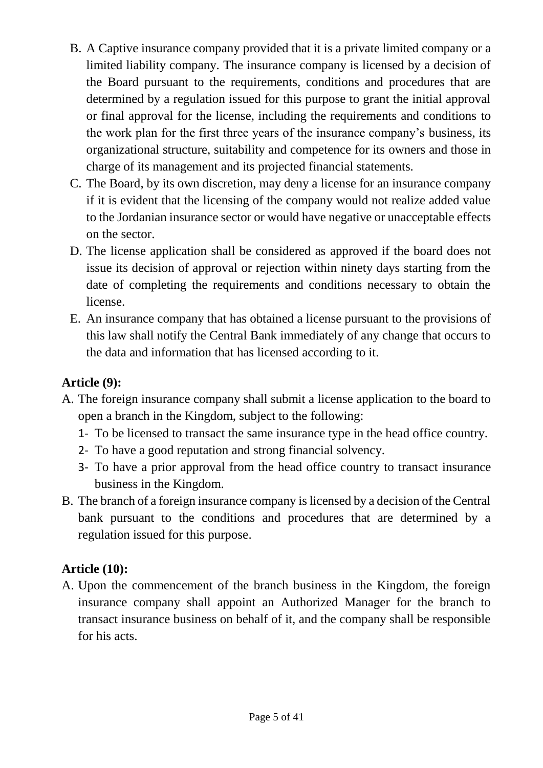- B. A Captive insurance company provided that it is a private limited company or a limited liability company. The insurance company is licensed by a decision of the Board pursuant to the requirements, conditions and procedures that are determined by a regulation issued for this purpose to grant the initial approval or final approval for the license, including the requirements and conditions to the work plan for the first three years of the insurance company's business, its organizational structure, suitability and competence for its owners and those in charge of its management and its projected financial statements.
- C. The Board, by its own discretion, may deny a license for an insurance company if it is evident that the licensing of the company would not realize added value to the Jordanian insurance sector or would have negative or unacceptable effects on the sector.
- D. The license application shall be considered as approved if the board does not issue its decision of approval or rejection within ninety days starting from the date of completing the requirements and conditions necessary to obtain the license.
- E. An insurance company that has obtained a license pursuant to the provisions of this law shall notify the Central Bank immediately of any change that occurs to the data and information that has licensed according to it.

### **Article (9):**

- A. The foreign insurance company shall submit a license application to the board to open a branch in the Kingdom, subject to the following:
	- 1- To be licensed to transact the same insurance type in the head office country.
	- 2- To have a good reputation and strong financial solvency.
	- 3- To have a prior approval from the head office country to transact insurance business in the Kingdom.
- B. The branch of a foreign insurance company is licensed by a decision of the Central bank pursuant to the conditions and procedures that are determined by a regulation issued for this purpose.

## **Article (10):**

A. Upon the commencement of the branch business in the Kingdom, the foreign insurance company shall appoint an Authorized Manager for the branch to transact insurance business on behalf of it, and the company shall be responsible for his acts.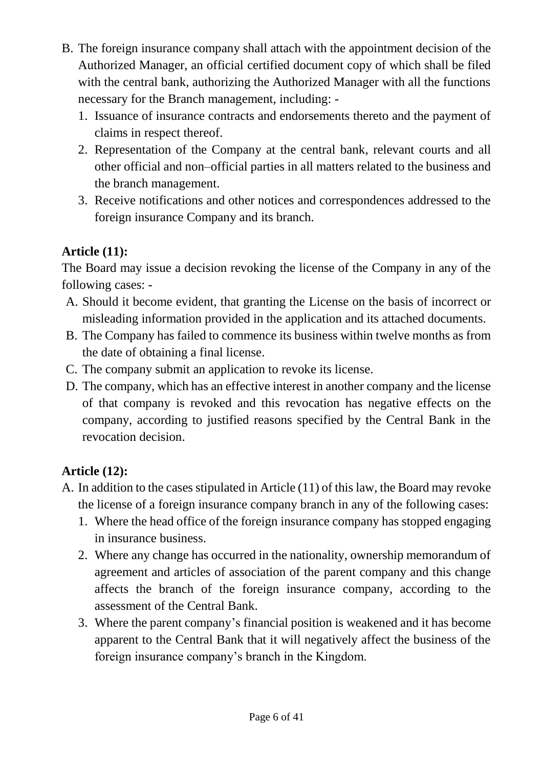- B. The foreign insurance company shall attach with the appointment decision of the Authorized Manager, an official certified document copy of which shall be filed with the central bank, authorizing the Authorized Manager with all the functions necessary for the Branch management, including: -
	- 1. Issuance of insurance contracts and endorsements thereto and the payment of claims in respect thereof.
	- 2. Representation of the Company at the central bank, relevant courts and all other official and non–official parties in all matters related to the business and the branch management.
	- 3. Receive notifications and other notices and correspondences addressed to the foreign insurance Company and its branch.

# **Article (11):**

The Board may issue a decision revoking the license of the Company in any of the following cases: -

- A. Should it become evident, that granting the License on the basis of incorrect or misleading information provided in the application and its attached documents.
- B. The Company has failed to commence its business within twelve months as from the date of obtaining a final license.
- C. The company submit an application to revoke its license.
- D. The company, which has an effective interest in another company and the license of that company is revoked and this revocation has negative effects on the company, according to justified reasons specified by the Central Bank in the revocation decision.

## **Article (12):**

- A. In addition to the cases stipulated in Article (11) of this law, the Board may revoke the license of a foreign insurance company branch in any of the following cases:
	- 1. Where the head office of the foreign insurance company has stopped engaging in insurance business.
	- 2. Where any change has occurred in the nationality, ownership memorandum of agreement and articles of association of the parent company and this change affects the branch of the foreign insurance company, according to the assessment of the Central Bank.
	- 3. Where the parent company's financial position is weakened and it has become apparent to the Central Bank that it will negatively affect the business of the foreign insurance company's branch in the Kingdom.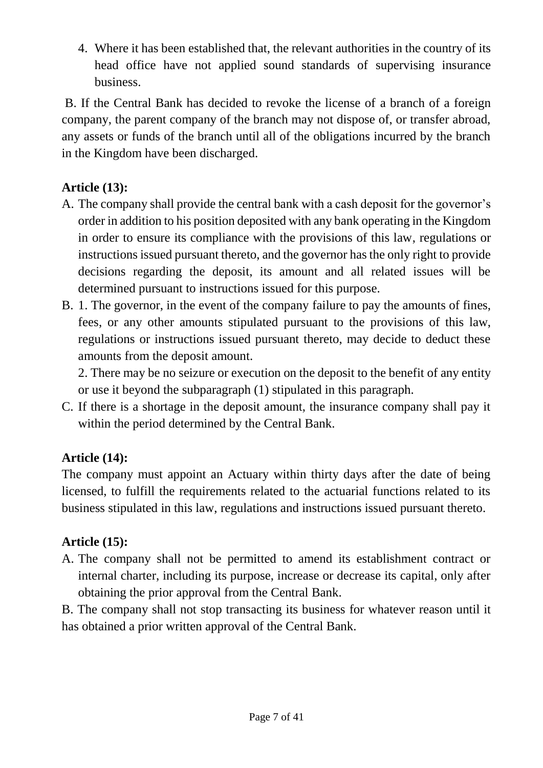4. Where it has been established that, the relevant authorities in the country of its head office have not applied sound standards of supervising insurance business.

B. If the Central Bank has decided to revoke the license of a branch of a foreign company, the parent company of the branch may not dispose of, or transfer abroad, any assets or funds of the branch until all of the obligations incurred by the branch in the Kingdom have been discharged.

## **Article (13):**

- A. The company shall provide the central bank with a cash deposit for the governor's order in addition to his position deposited with any bank operating in the Kingdom in order to ensure its compliance with the provisions of this law, regulations or instructions issued pursuant thereto, and the governor has the only right to provide decisions regarding the deposit, its amount and all related issues will be determined pursuant to instructions issued for this purpose.
- B. 1. The governor, in the event of the company failure to pay the amounts of fines, fees, or any other amounts stipulated pursuant to the provisions of this law, regulations or instructions issued pursuant thereto, may decide to deduct these amounts from the deposit amount.

2. There may be no seizure or execution on the deposit to the benefit of any entity or use it beyond the subparagraph (1) stipulated in this paragraph.

C. If there is a shortage in the deposit amount, the insurance company shall pay it within the period determined by the Central Bank.

## **Article (14):**

The company must appoint an Actuary within thirty days after the date of being licensed, to fulfill the requirements related to the actuarial functions related to its business stipulated in this law, regulations and instructions issued pursuant thereto.

## **Article (15):**

A. The company shall not be permitted to amend its establishment contract or internal charter, including its purpose, increase or decrease its capital, only after obtaining the prior approval from the Central Bank.

B. The company shall not stop transacting its business for whatever reason until it has obtained a prior written approval of the Central Bank.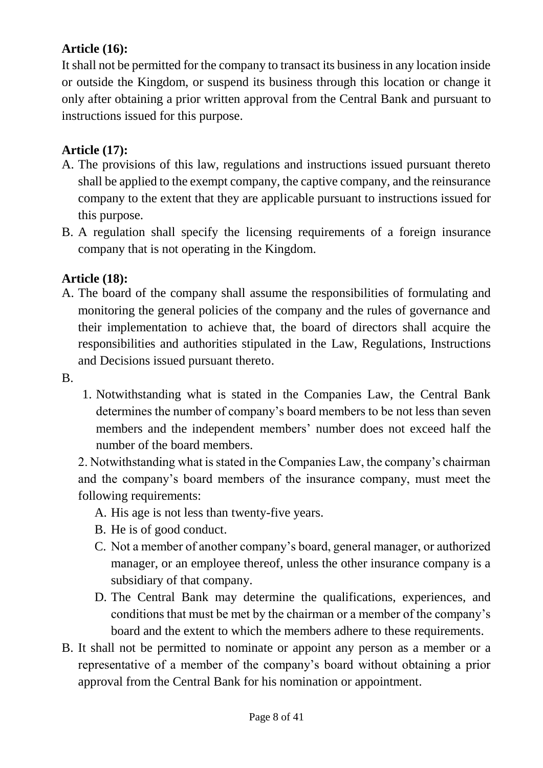## **Article (16):**

It shall not be permitted for the company to transact its business in any location inside or outside the Kingdom, or suspend its business through this location or change it only after obtaining a prior written approval from the Central Bank and pursuant to instructions issued for this purpose.

#### **Article (17):**

- A. The provisions of this law, regulations and instructions issued pursuant thereto shall be applied to the exempt company, the captive company, and the reinsurance company to the extent that they are applicable pursuant to instructions issued for this purpose.
- B. A regulation shall specify the licensing requirements of a foreign insurance company that is not operating in the Kingdom.

#### **Article (18):**

- A. The board of the company shall assume the responsibilities of formulating and monitoring the general policies of the company and the rules of governance and their implementation to achieve that, the board of directors shall acquire the responsibilities and authorities stipulated in the Law, Regulations, Instructions and Decisions issued pursuant thereto.
- B.
- 1. Notwithstanding what is stated in the Companies Law, the Central Bank determines the number of company's board members to be not less than seven members and the independent members' number does not exceed half the number of the board members.

2. Notwithstanding what is stated in the Companies Law, the company's chairman and the company's board members of the insurance company, must meet the following requirements:

- A. His age is not less than twenty-five years.
- B. He is of good conduct.
- C. Not a member of another company's board, general manager, or authorized manager, or an employee thereof, unless the other insurance company is a subsidiary of that company.
- D. The Central Bank may determine the qualifications, experiences, and conditions that must be met by the chairman or a member of the company's board and the extent to which the members adhere to these requirements.
- B. It shall not be permitted to nominate or appoint any person as a member or a representative of a member of the company's board without obtaining a prior approval from the Central Bank for his nomination or appointment.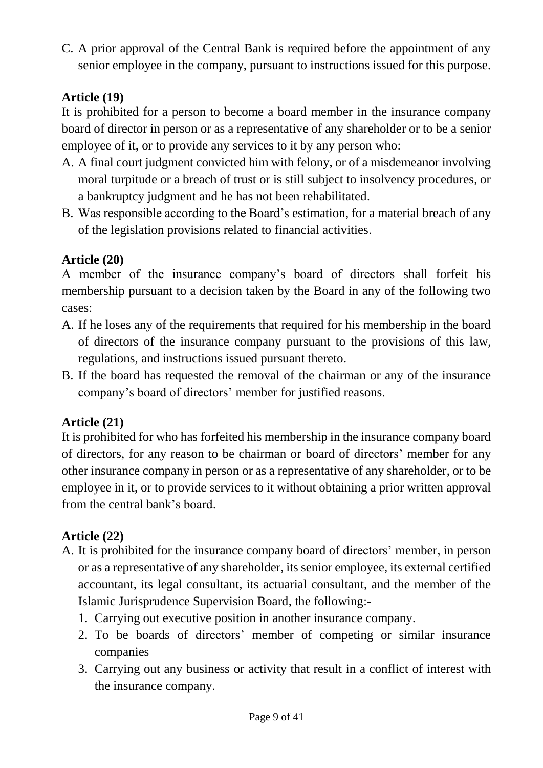C. A prior approval of the Central Bank is required before the appointment of any senior employee in the company, pursuant to instructions issued for this purpose.

## **Article (19)**

It is prohibited for a person to become a board member in the insurance company board of director in person or as a representative of any shareholder or to be a senior employee of it, or to provide any services to it by any person who:

- A. A final court judgment convicted him with felony, or of a misdemeanor involving moral turpitude or a breach of trust or is still subject to insolvency procedures, or a bankruptcy judgment and he has not been rehabilitated.
- B. Was responsible according to the Board's estimation, for a material breach of any of the legislation provisions related to financial activities.

### **Article (20)**

A member of the insurance company's board of directors shall forfeit his membership pursuant to a decision taken by the Board in any of the following two cases:

- A. If he loses any of the requirements that required for his membership in the board of directors of the insurance company pursuant to the provisions of this law, regulations, and instructions issued pursuant thereto.
- B. If the board has requested the removal of the chairman or any of the insurance company's board of directors' member for justified reasons.

### **Article (21)**

It is prohibited for who has forfeited his membership in the insurance company board of directors, for any reason to be chairman or board of directors' member for any other insurance company in person or as a representative of any shareholder, or to be employee in it, or to provide services to it without obtaining a prior written approval from the central bank's board.

## **Article (22)**

- A. It is prohibited for the insurance company board of directors' member, in person or as a representative of any shareholder, its senior employee, its external certified accountant, its legal consultant, its actuarial consultant, and the member of the Islamic Jurisprudence Supervision Board, the following:-
	- 1. Carrying out executive position in another insurance company.
	- 2. To be boards of directors' member of competing or similar insurance companies
	- 3. Carrying out any business or activity that result in a conflict of interest with the insurance company.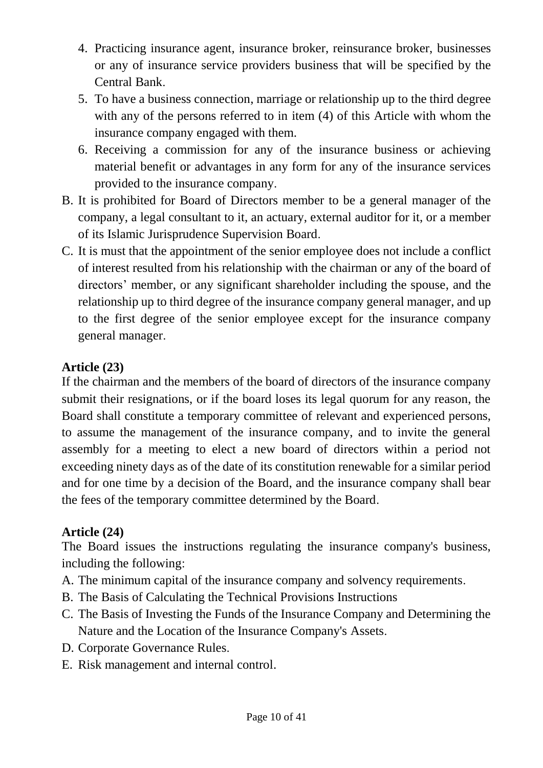- 4. Practicing insurance agent, insurance broker, reinsurance broker, businesses or any of insurance service providers business that will be specified by the Central Bank.
- 5. To have a business connection, marriage or relationship up to the third degree with any of the persons referred to in item (4) of this Article with whom the insurance company engaged with them.
- 6. Receiving a commission for any of the insurance business or achieving material benefit or advantages in any form for any of the insurance services provided to the insurance company.
- B. It is prohibited for Board of Directors member to be a general manager of the company, a legal consultant to it, an actuary, external auditor for it, or a member of its Islamic Jurisprudence Supervision Board.
- C. It is must that the appointment of the senior employee does not include a conflict of interest resulted from his relationship with the chairman or any of the board of directors' member, or any significant shareholder including the spouse, and the relationship up to third degree of the insurance company general manager, and up to the first degree of the senior employee except for the insurance company general manager.

### **Article (23)**

If the chairman and the members of the board of directors of the insurance company submit their resignations, or if the board loses its legal quorum for any reason, the Board shall constitute a temporary committee of relevant and experienced persons, to assume the management of the insurance company, and to invite the general assembly for a meeting to elect a new board of directors within a period not exceeding ninety days as of the date of its constitution renewable for a similar period and for one time by a decision of the Board, and the insurance company shall bear the fees of the temporary committee determined by the Board.

## **Article (24)**

The Board issues the instructions regulating the insurance company's business, including the following:

- A. The minimum capital of the insurance company and solvency requirements.
- B. The Basis of Calculating the Technical Provisions Instructions
- C. The Basis of Investing the Funds of the Insurance Company and Determining the Nature and the Location of the Insurance Company's Assets.
- D. Corporate Governance Rules.
- E. Risk management and internal control.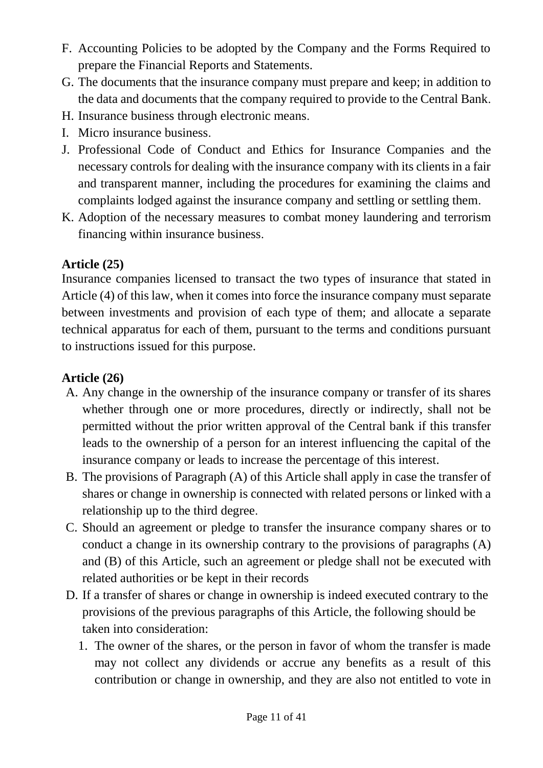- F. Accounting Policies to be adopted by the Company and the Forms Required to prepare the Financial Reports and Statements.
- G. The documents that the insurance company must prepare and keep; in addition to the data and documents that the company required to provide to the Central Bank.
- H. Insurance business through electronic means.
- I. Micro insurance business.
- J. Professional Code of Conduct and Ethics for Insurance Companies and the necessary controls for dealing with the insurance company with its clients in a fair and transparent manner, including the procedures for examining the claims and complaints lodged against the insurance company and settling or settling them.
- K. Adoption of the necessary measures to combat money laundering and terrorism financing within insurance business.

### **Article (25)**

Insurance companies licensed to transact the two types of insurance that stated in Article (4) of this law, when it comes into force the insurance company must separate between investments and provision of each type of them; and allocate a separate technical apparatus for each of them, pursuant to the terms and conditions pursuant to instructions issued for this purpose.

### **Article (26)**

- A. Any change in the ownership of the insurance company or transfer of its shares whether through one or more procedures, directly or indirectly, shall not be permitted without the prior written approval of the Central bank if this transfer leads to the ownership of a person for an interest influencing the capital of the insurance company or leads to increase the percentage of this interest.
- B. The provisions of Paragraph (A) of this Article shall apply in case the transfer of shares or change in ownership is connected with related persons or linked with a relationship up to the third degree.
- C. Should an agreement or pledge to transfer the insurance company shares or to conduct a change in its ownership contrary to the provisions of paragraphs (A) and (B) of this Article, such an agreement or pledge shall not be executed with related authorities or be kept in their records
- D. If a transfer of shares or change in ownership is indeed executed contrary to the provisions of the previous paragraphs of this Article, the following should be taken into consideration:
	- 1. The owner of the shares, or the person in favor of whom the transfer is made may not collect any dividends or accrue any benefits as a result of this contribution or change in ownership, and they are also not entitled to vote in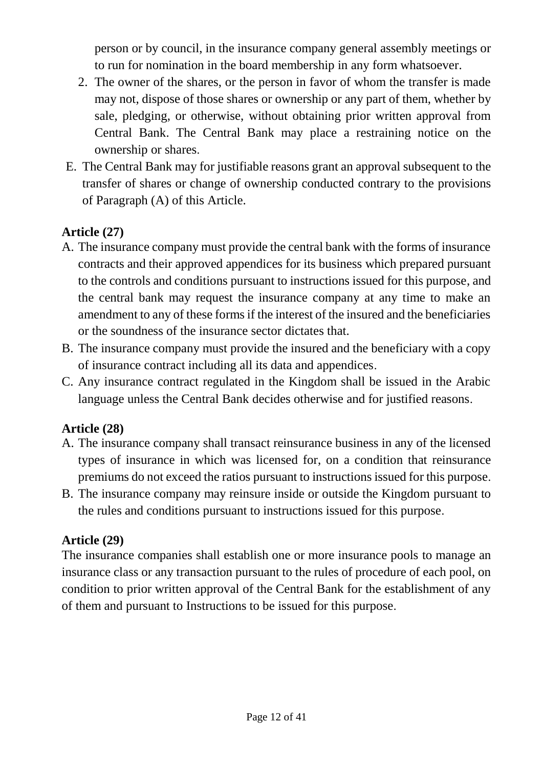person or by council, in the insurance company general assembly meetings or to run for nomination in the board membership in any form whatsoever.

- 2. The owner of the shares, or the person in favor of whom the transfer is made may not, dispose of those shares or ownership or any part of them, whether by sale, pledging, or otherwise, without obtaining prior written approval from Central Bank. The Central Bank may place a restraining notice on the ownership or shares.
- E. The Central Bank may for justifiable reasons grant an approval subsequent to the transfer of shares or change of ownership conducted contrary to the provisions of Paragraph (A) of this Article.

### **Article (27)**

- A. The insurance company must provide the central bank with the forms of insurance contracts and their approved appendices for its business which prepared pursuant to the controls and conditions pursuant to instructions issued for this purpose, and the central bank may request the insurance company at any time to make an amendment to any of these forms if the interest of the insured and the beneficiaries or the soundness of the insurance sector dictates that.
- B. The insurance company must provide the insured and the beneficiary with a copy of insurance contract including all its data and appendices.
- C. Any insurance contract regulated in the Kingdom shall be issued in the Arabic language unless the Central Bank decides otherwise and for justified reasons.

#### **Article (28)**

- A. The insurance company shall transact reinsurance business in any of the licensed types of insurance in which was licensed for, on a condition that reinsurance premiums do not exceed the ratios pursuant to instructions issued for this purpose.
- B. The insurance company may reinsure inside or outside the Kingdom pursuant to the rules and conditions pursuant to instructions issued for this purpose.

#### **Article (29)**

The insurance companies shall establish one or more insurance pools to manage an insurance class or any transaction pursuant to the rules of procedure of each pool, on condition to prior written approval of the Central Bank for the establishment of any of them and pursuant to Instructions to be issued for this purpose.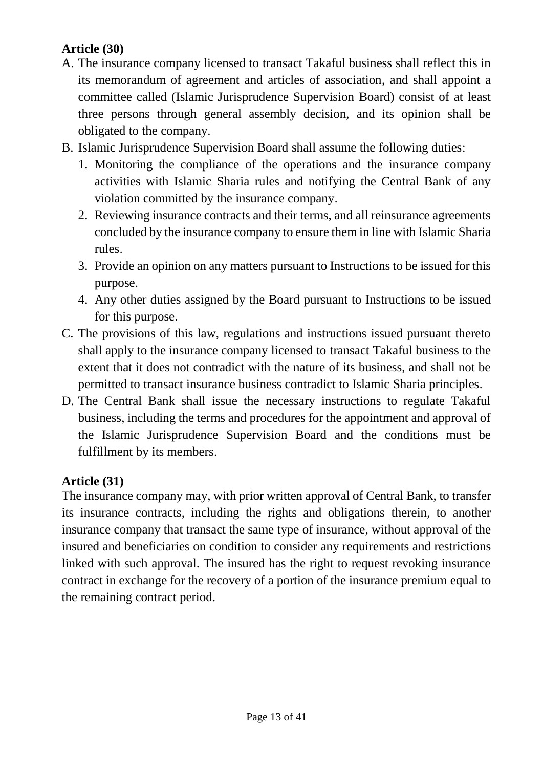### **Article (30)**

- A. The insurance company licensed to transact Takaful business shall reflect this in its memorandum of agreement and articles of association, and shall appoint a committee called (Islamic Jurisprudence Supervision Board) consist of at least three persons through general assembly decision, and its opinion shall be obligated to the company.
- B. Islamic Jurisprudence Supervision Board shall assume the following duties:
	- 1. Monitoring the compliance of the operations and the insurance company activities with Islamic Sharia rules and notifying the Central Bank of any violation committed by the insurance company.
	- 2. Reviewing insurance contracts and their terms, and all reinsurance agreements concluded by the insurance company to ensure them in line with Islamic Sharia rules.
	- 3. Provide an opinion on any matters pursuant to Instructions to be issued for this purpose.
	- 4. Any other duties assigned by the Board pursuant to Instructions to be issued for this purpose.
- C. The provisions of this law, regulations and instructions issued pursuant thereto shall apply to the insurance company licensed to transact Takaful business to the extent that it does not contradict with the nature of its business, and shall not be permitted to transact insurance business contradict to Islamic Sharia principles.
- D. The Central Bank shall issue the necessary instructions to regulate Takaful business, including the terms and procedures for the appointment and approval of the Islamic Jurisprudence Supervision Board and the conditions must be fulfillment by its members.

## **Article (31)**

The insurance company may, with prior written approval of Central Bank, to transfer its insurance contracts, including the rights and obligations therein, to another insurance company that transact the same type of insurance, without approval of the insured and beneficiaries on condition to consider any requirements and restrictions linked with such approval. The insured has the right to request revoking insurance contract in exchange for the recovery of a portion of the insurance premium equal to the remaining contract period.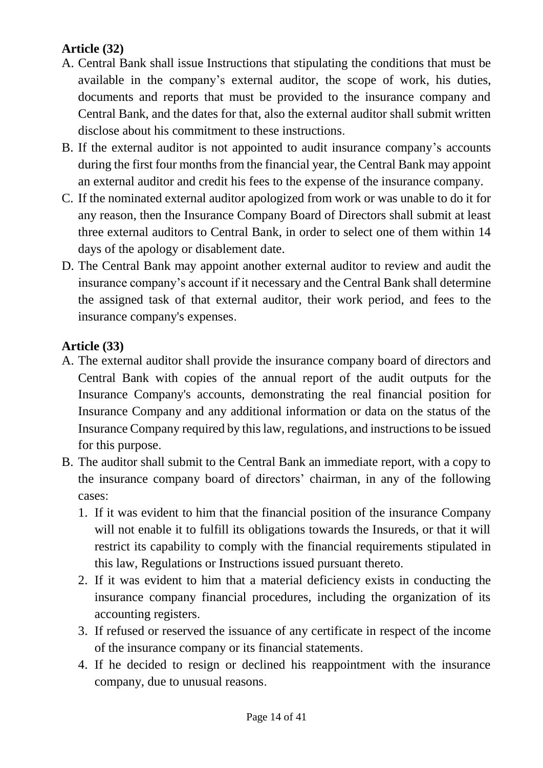### **Article (32)**

- A. Central Bank shall issue Instructions that stipulating the conditions that must be available in the company's external auditor, the scope of work, his duties, documents and reports that must be provided to the insurance company and Central Bank, and the dates for that, also the external auditor shall submit written disclose about his commitment to these instructions.
- B. If the external auditor is not appointed to audit insurance company's accounts during the first four months from the financial year, the Central Bank may appoint an external auditor and credit his fees to the expense of the insurance company.
- C. If the nominated external auditor apologized from work or was unable to do it for any reason, then the Insurance Company Board of Directors shall submit at least three external auditors to Central Bank, in order to select one of them within 14 days of the apology or disablement date.
- D. The Central Bank may appoint another external auditor to review and audit the insurance company's account if it necessary and the Central Bank shall determine the assigned task of that external auditor, their work period, and fees to the insurance company's expenses.

### **Article (33)**

- A. The external auditor shall provide the insurance company board of directors and Central Bank with copies of the annual report of the audit outputs for the Insurance Company's accounts, demonstrating the real financial position for Insurance Company and any additional information or data on the status of the Insurance Company required by this law, regulations, and instructions to be issued for this purpose.
- B. The auditor shall submit to the Central Bank an immediate report, with a copy to the insurance company board of directors' chairman, in any of the following cases:
	- 1. If it was evident to him that the financial position of the insurance Company will not enable it to fulfill its obligations towards the Insureds, or that it will restrict its capability to comply with the financial requirements stipulated in this law, Regulations or Instructions issued pursuant thereto.
	- 2. If it was evident to him that a material deficiency exists in conducting the insurance company financial procedures, including the organization of its accounting registers.
	- 3. If refused or reserved the issuance of any certificate in respect of the income of the insurance company or its financial statements.
	- 4. If he decided to resign or declined his reappointment with the insurance company, due to unusual reasons.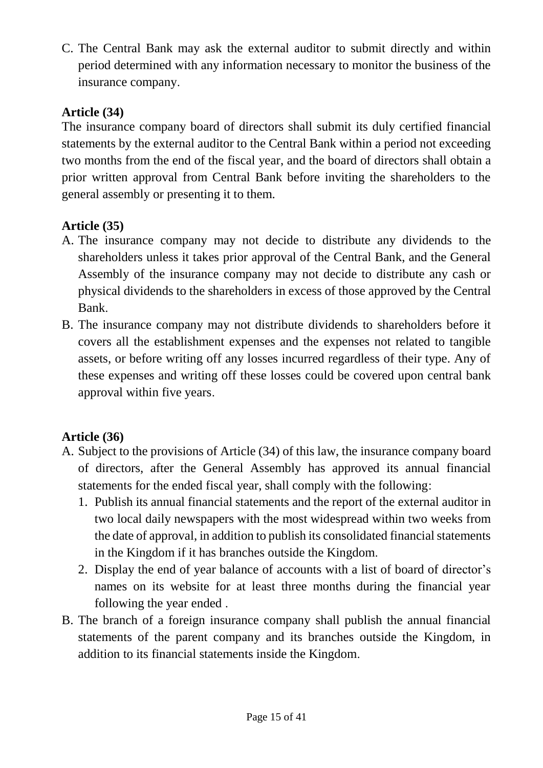C. The Central Bank may ask the external auditor to submit directly and within period determined with any information necessary to monitor the business of the insurance company.

### **Article (34)**

The insurance company board of directors shall submit its duly certified financial statements by the external auditor to the Central Bank within a period not exceeding two months from the end of the fiscal year, and the board of directors shall obtain a prior written approval from Central Bank before inviting the shareholders to the general assembly or presenting it to them.

## **Article (35)**

- A. The insurance company may not decide to distribute any dividends to the shareholders unless it takes prior approval of the Central Bank, and the General Assembly of the insurance company may not decide to distribute any cash or physical dividends to the shareholders in excess of those approved by the Central Bank.
- B. The insurance company may not distribute dividends to shareholders before it covers all the establishment expenses and the expenses not related to tangible assets, or before writing off any losses incurred regardless of their type. Any of these expenses and writing off these losses could be covered upon central bank approval within five years.

## **Article (36)**

- A. Subject to the provisions of Article (34) of this law, the insurance company board of directors, after the General Assembly has approved its annual financial statements for the ended fiscal year, shall comply with the following:
	- 1. Publish its annual financial statements and the report of the external auditor in two local daily newspapers with the most widespread within two weeks from the date of approval, in addition to publish its consolidated financial statements in the Kingdom if it has branches outside the Kingdom.
	- 2. Display the end of year balance of accounts with a list of board of director's names on its website for at least three months during the financial year following the year ended .
- B. The branch of a foreign insurance company shall publish the annual financial statements of the parent company and its branches outside the Kingdom, in addition to its financial statements inside the Kingdom.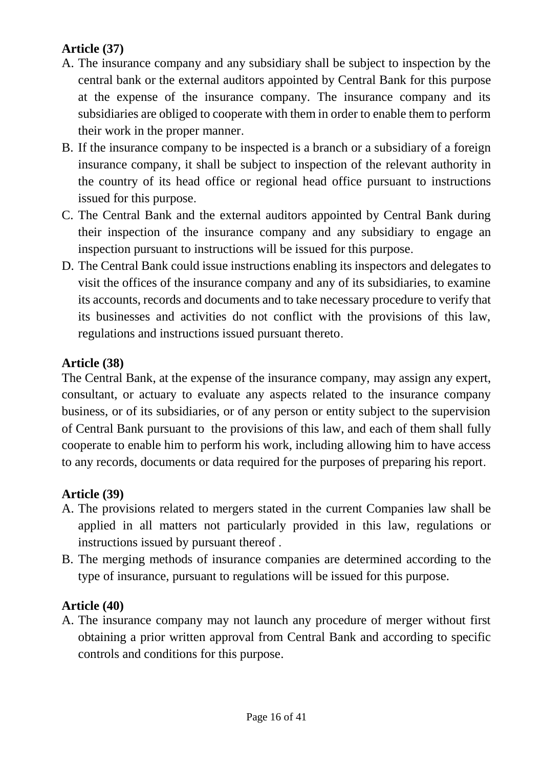## **Article (37)**

- A. The insurance company and any subsidiary shall be subject to inspection by the central bank or the external auditors appointed by Central Bank for this purpose at the expense of the insurance company. The insurance company and its subsidiaries are obliged to cooperate with them in order to enable them to perform their work in the proper manner.
- B. If the insurance company to be inspected is a branch or a subsidiary of a foreign insurance company, it shall be subject to inspection of the relevant authority in the country of its head office or regional head office pursuant to instructions issued for this purpose.
- C. The Central Bank and the external auditors appointed by Central Bank during their inspection of the insurance company and any subsidiary to engage an inspection pursuant to instructions will be issued for this purpose.
- D. The Central Bank could issue instructions enabling its inspectors and delegates to visit the offices of the insurance company and any of its subsidiaries, to examine its accounts, records and documents and to take necessary procedure to verify that its businesses and activities do not conflict with the provisions of this law, regulations and instructions issued pursuant thereto.

### **Article (38)**

The Central Bank, at the expense of the insurance company, may assign any expert, consultant, or actuary to evaluate any aspects related to the insurance company business, or of its subsidiaries, or of any person or entity subject to the supervision of Central Bank pursuant to the provisions of this law, and each of them shall fully cooperate to enable him to perform his work, including allowing him to have access to any records, documents or data required for the purposes of preparing his report.

### **Article (39)**

- A. The provisions related to mergers stated in the current Companies law shall be applied in all matters not particularly provided in this law, regulations or instructions issued by pursuant thereof .
- B. The merging methods of insurance companies are determined according to the type of insurance, pursuant to regulations will be issued for this purpose.

### **Article (40)**

A. The insurance company may not launch any procedure of merger without first obtaining a prior written approval from Central Bank and according to specific controls and conditions for this purpose.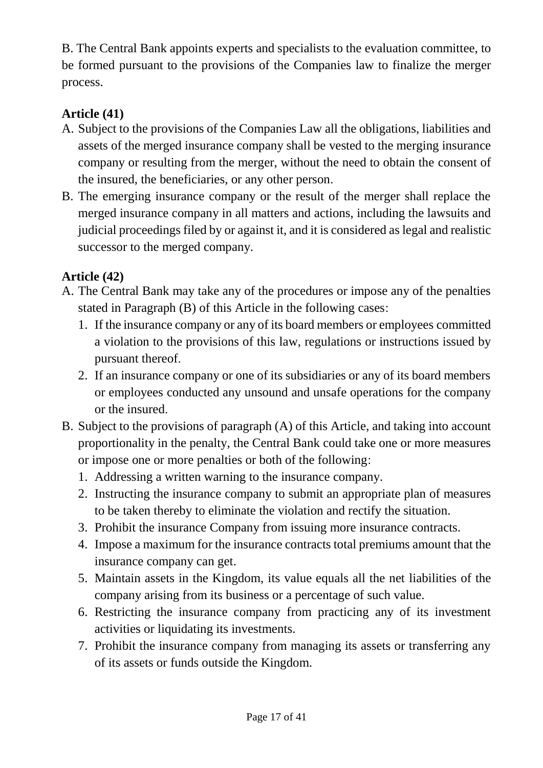B. The Central Bank appoints experts and specialists to the evaluation committee, to be formed pursuant to the provisions of the Companies law to finalize the merger process.

## **Article (41)**

- A. Subject to the provisions of the Companies Law all the obligations, liabilities and assets of the merged insurance company shall be vested to the merging insurance company or resulting from the merger, without the need to obtain the consent of the insured, the beneficiaries, or any other person.
- B. The emerging insurance company or the result of the merger shall replace the merged insurance company in all matters and actions, including the lawsuits and judicial proceedings filed by or against it, and it is considered as legal and realistic successor to the merged company.

### **Article (42)**

- A. The Central Bank may take any of the procedures or impose any of the penalties stated in Paragraph (B) of this Article in the following cases:
	- 1. If the insurance company or any of its board members or employees committed a violation to the provisions of this law, regulations or instructions issued by pursuant thereof.
	- 2. If an insurance company or one of its subsidiaries or any of its board members or employees conducted any unsound and unsafe operations for the company or the insured.
- B. Subject to the provisions of paragraph (A) of this Article, and taking into account proportionality in the penalty, the Central Bank could take one or more measures or impose one or more penalties or both of the following:
	- 1. Addressing a written warning to the insurance company.
	- 2. Instructing the insurance company to submit an appropriate plan of measures to be taken thereby to eliminate the violation and rectify the situation.
	- 3. Prohibit the insurance Company from issuing more insurance contracts.
	- 4. Impose a maximum for the insurance contracts total premiums amount that the insurance company can get.
	- 5. Maintain assets in the Kingdom, its value equals all the net liabilities of the company arising from its business or a percentage of such value.
	- 6. Restricting the insurance company from practicing any of its investment activities or liquidating its investments.
	- 7. Prohibit the insurance company from managing its assets or transferring any of its assets or funds outside the Kingdom.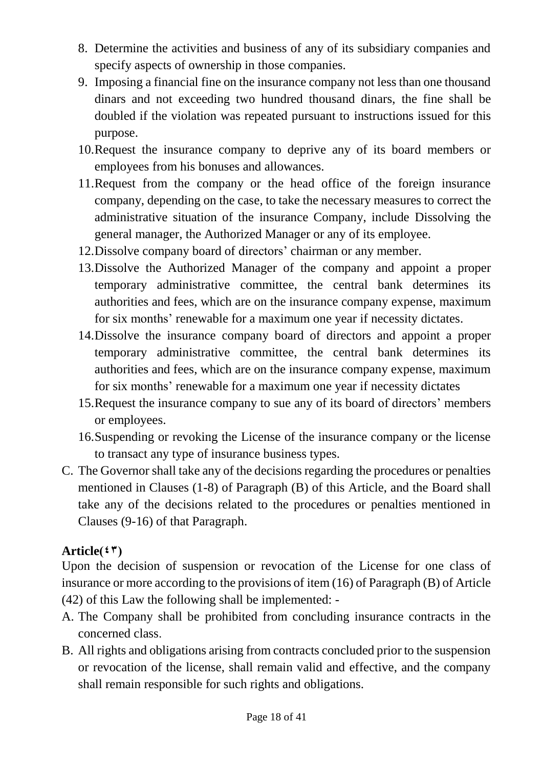- 8. Determine the activities and business of any of its subsidiary companies and specify aspects of ownership in those companies.
- 9. Imposing a financial fine on the insurance company not less than one thousand dinars and not exceeding two hundred thousand dinars, the fine shall be doubled if the violation was repeated pursuant to instructions issued for this purpose.
- 10.Request the insurance company to deprive any of its board members or employees from his bonuses and allowances.
- 11.Request from the company or the head office of the foreign insurance company, depending on the case, to take the necessary measures to correct the administrative situation of the insurance Company, include Dissolving the general manager, the Authorized Manager or any of its employee.
- 12.Dissolve company board of directors' chairman or any member.
- 13.Dissolve the Authorized Manager of the company and appoint a proper temporary administrative committee, the central bank determines its authorities and fees, which are on the insurance company expense, maximum for six months' renewable for a maximum one year if necessity dictates.
- 14.Dissolve the insurance company board of directors and appoint a proper temporary administrative committee, the central bank determines its authorities and fees, which are on the insurance company expense, maximum for six months' renewable for a maximum one year if necessity dictates
- 15.Request the insurance company to sue any of its board of directors' members or employees.
- 16.Suspending or revoking the License of the insurance company or the license to transact any type of insurance business types.
- C. The Governor shall take any of the decisions regarding the procedures or penalties mentioned in Clauses (1-8) of Paragraph (B) of this Article, and the Board shall take any of the decisions related to the procedures or penalties mentioned in Clauses (9-16) of that Paragraph.

### Article $(47)$

Upon the decision of suspension or revocation of the License for one class of insurance or more according to the provisions of item (16) of Paragraph (B) of Article (42) of this Law the following shall be implemented: -

- A. The Company shall be prohibited from concluding insurance contracts in the concerned class.
- B. All rights and obligations arising from contracts concluded prior to the suspension or revocation of the license, shall remain valid and effective, and the company shall remain responsible for such rights and obligations.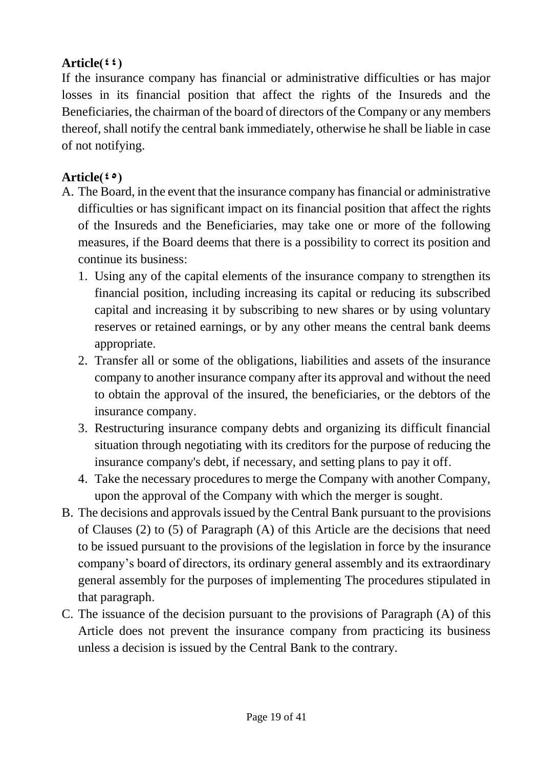### Article $(4, 4)$

If the insurance company has financial or administrative difficulties or has major losses in its financial position that affect the rights of the Insureds and the Beneficiaries, the chairman of the board of directors of the Company or any members thereof, shall notify the central bank immediately, otherwise he shall be liable in case of not notifying.

## Article( $\mathfrak{so}_{\lambda}$ )

- A. The Board, in the event that the insurance company has financial or administrative difficulties or has significant impact on its financial position that affect the rights of the Insureds and the Beneficiaries, may take one or more of the following measures, if the Board deems that there is a possibility to correct its position and continue its business:
	- 1. Using any of the capital elements of the insurance company to strengthen its financial position, including increasing its capital or reducing its subscribed capital and increasing it by subscribing to new shares or by using voluntary reserves or retained earnings, or by any other means the central bank deems appropriate.
	- 2. Transfer all or some of the obligations, liabilities and assets of the insurance company to another insurance company after its approval and without the need to obtain the approval of the insured, the beneficiaries, or the debtors of the insurance company.
	- 3. Restructuring insurance company debts and organizing its difficult financial situation through negotiating with its creditors for the purpose of reducing the insurance company's debt, if necessary, and setting plans to pay it off.
	- 4. Take the necessary procedures to merge the Company with another Company, upon the approval of the Company with which the merger is sought.
- B. The decisions and approvals issued by the Central Bank pursuant to the provisions of Clauses (2) to (5) of Paragraph (A) of this Article are the decisions that need to be issued pursuant to the provisions of the legislation in force by the insurance company's board of directors, its ordinary general assembly and its extraordinary general assembly for the purposes of implementing The procedures stipulated in that paragraph.
- C. The issuance of the decision pursuant to the provisions of Paragraph (A) of this Article does not prevent the insurance company from practicing its business unless a decision is issued by the Central Bank to the contrary.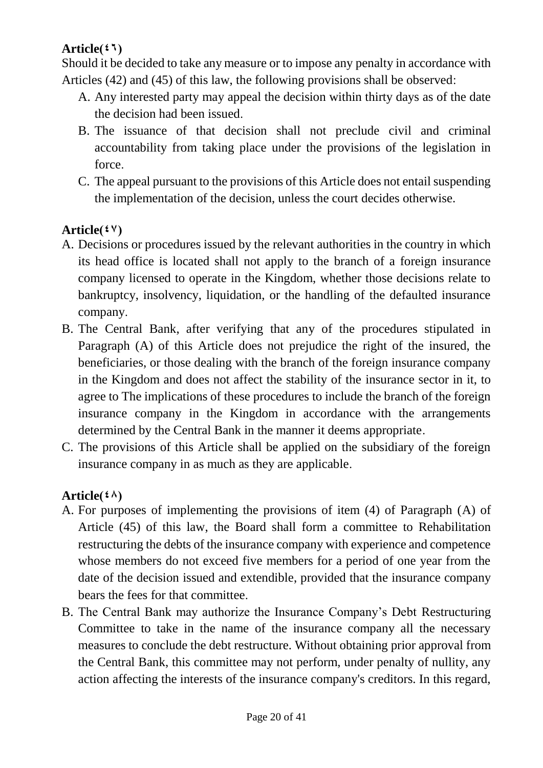### $Article(47)$

Should it be decided to take any measure or to impose any penalty in accordance with Articles (42) and (45) of this law, the following provisions shall be observed:

- A. Any interested party may appeal the decision within thirty days as of the date the decision had been issued.
- B. The issuance of that decision shall not preclude civil and criminal accountability from taking place under the provisions of the legislation in force.
- C. The appeal pursuant to the provisions of this Article does not entail suspending the implementation of the decision, unless the court decides otherwise.

### Article $({}^{\mathfrak{g}}\mathsf{V})$

- A. Decisions or procedures issued by the relevant authorities in the country in which its head office is located shall not apply to the branch of a foreign insurance company licensed to operate in the Kingdom, whether those decisions relate to bankruptcy, insolvency, liquidation, or the handling of the defaulted insurance company.
- B. The Central Bank, after verifying that any of the procedures stipulated in Paragraph (A) of this Article does not prejudice the right of the insured, the beneficiaries, or those dealing with the branch of the foreign insurance company in the Kingdom and does not affect the stability of the insurance sector in it, to agree to The implications of these procedures to include the branch of the foreign insurance company in the Kingdom in accordance with the arrangements determined by the Central Bank in the manner it deems appropriate.
- C. The provisions of this Article shall be applied on the subsidiary of the foreign insurance company in as much as they are applicable.

### $Article(4)$

- A. For purposes of implementing the provisions of item (4) of Paragraph (A) of Article (45) of this law, the Board shall form a committee to Rehabilitation restructuring the debts of the insurance company with experience and competence whose members do not exceed five members for a period of one year from the date of the decision issued and extendible, provided that the insurance company bears the fees for that committee.
- B. The Central Bank may authorize the Insurance Company's Debt Restructuring Committee to take in the name of the insurance company all the necessary measures to conclude the debt restructure. Without obtaining prior approval from the Central Bank, this committee may not perform, under penalty of nullity, any action affecting the interests of the insurance company's creditors. In this regard,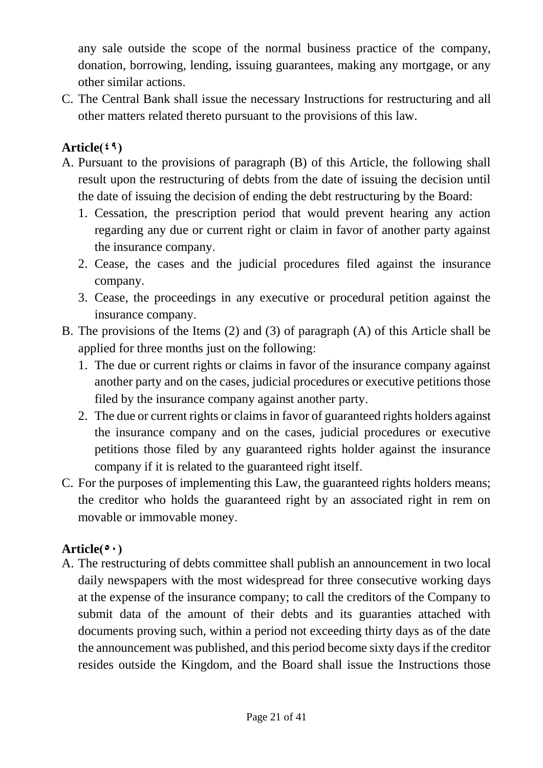any sale outside the scope of the normal business practice of the company, donation, borrowing, lending, issuing guarantees, making any mortgage, or any other similar actions.

C. The Central Bank shall issue the necessary Instructions for restructuring and all other matters related thereto pursuant to the provisions of this law.

### $Article(49)$

- A. Pursuant to the provisions of paragraph (B) of this Article, the following shall result upon the restructuring of debts from the date of issuing the decision until the date of issuing the decision of ending the debt restructuring by the Board:
	- 1. Cessation, the prescription period that would prevent hearing any action regarding any due or current right or claim in favor of another party against the insurance company.
	- 2. Cease, the cases and the judicial procedures filed against the insurance company.
	- 3. Cease, the proceedings in any executive or procedural petition against the insurance company.
- B. The provisions of the Items (2) and (3) of paragraph (A) of this Article shall be applied for three months just on the following:
	- 1. The due or current rights or claims in favor of the insurance company against another party and on the cases, judicial procedures or executive petitions those filed by the insurance company against another party.
	- 2. The due or current rights or claims in favor of guaranteed rights holders against the insurance company and on the cases, judicial procedures or executive petitions those filed by any guaranteed rights holder against the insurance company if it is related to the guaranteed right itself.
- C. For the purposes of implementing this Law, the guaranteed rights holders means; the creditor who holds the guaranteed right by an associated right in rem on movable or immovable money.

### Article( $\circ \cdot$ )

A. The restructuring of debts committee shall publish an announcement in two local daily newspapers with the most widespread for three consecutive working days at the expense of the insurance company; to call the creditors of the Company to submit data of the amount of their debts and its guaranties attached with documents proving such, within a period not exceeding thirty days as of the date the announcement was published, and this period become sixty days if the creditor resides outside the Kingdom, and the Board shall issue the Instructions those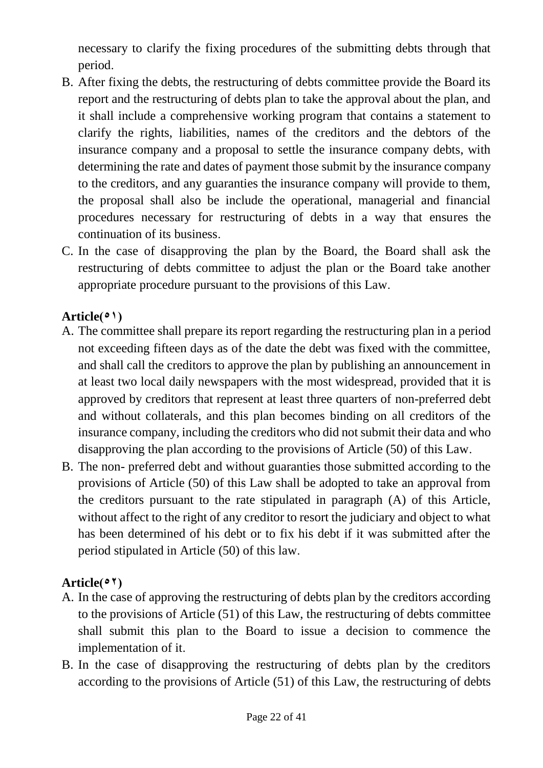necessary to clarify the fixing procedures of the submitting debts through that period.

- B. After fixing the debts, the restructuring of debts committee provide the Board its report and the restructuring of debts plan to take the approval about the plan, and it shall include a comprehensive working program that contains a statement to clarify the rights, liabilities, names of the creditors and the debtors of the insurance company and a proposal to settle the insurance company debts, with determining the rate and dates of payment those submit by the insurance company to the creditors, and any guaranties the insurance company will provide to them, the proposal shall also be include the operational, managerial and financial procedures necessary for restructuring of debts in a way that ensures the continuation of its business.
- C. In the case of disapproving the plan by the Board, the Board shall ask the restructuring of debts committee to adjust the plan or the Board take another appropriate procedure pursuant to the provisions of this Law.

### $Article(°)$

- A. The committee shall prepare its report regarding the restructuring plan in a period not exceeding fifteen days as of the date the debt was fixed with the committee, and shall call the creditors to approve the plan by publishing an announcement in at least two local daily newspapers with the most widespread, provided that it is approved by creditors that represent at least three quarters of non-preferred debt and without collaterals, and this plan becomes binding on all creditors of the insurance company, including the creditors who did not submit their data and who disapproving the plan according to the provisions of Article (50) of this Law.
- B. The non- preferred debt and without guaranties those submitted according to the provisions of Article (50) of this Law shall be adopted to take an approval from the creditors pursuant to the rate stipulated in paragraph (A) of this Article, without affect to the right of any creditor to resort the judiciary and object to what has been determined of his debt or to fix his debt if it was submitted after the period stipulated in Article (50) of this law.

## $Article (27)$

- A. In the case of approving the restructuring of debts plan by the creditors according to the provisions of Article (51) of this Law, the restructuring of debts committee shall submit this plan to the Board to issue a decision to commence the implementation of it.
- B. In the case of disapproving the restructuring of debts plan by the creditors according to the provisions of Article (51) of this Law, the restructuring of debts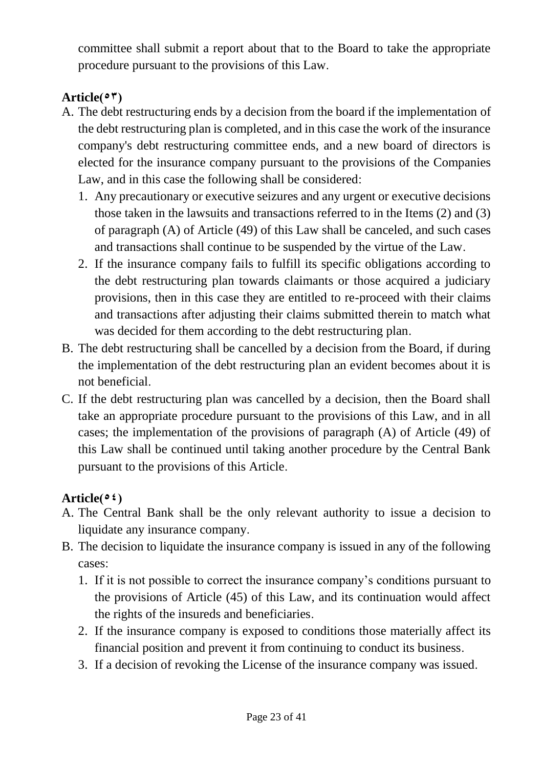committee shall submit a report about that to the Board to take the appropriate procedure pursuant to the provisions of this Law.

# $Article (°<sup>†</sup>)$

- A. The debt restructuring ends by a decision from the board if the implementation of the debt restructuring plan is completed, and in this case the work of the insurance company's debt restructuring committee ends, and a new board of directors is elected for the insurance company pursuant to the provisions of the Companies Law, and in this case the following shall be considered:
	- 1. Any precautionary or executive seizures and any urgent or executive decisions those taken in the lawsuits and transactions referred to in the Items (2) and (3) of paragraph (A) of Article (49) of this Law shall be canceled, and such cases and transactions shall continue to be suspended by the virtue of the Law.
	- 2. If the insurance company fails to fulfill its specific obligations according to the debt restructuring plan towards claimants or those acquired a judiciary provisions, then in this case they are entitled to re-proceed with their claims and transactions after adjusting their claims submitted therein to match what was decided for them according to the debt restructuring plan.
- B. The debt restructuring shall be cancelled by a decision from the Board, if during the implementation of the debt restructuring plan an evident becomes about it is not beneficial.
- C. If the debt restructuring plan was cancelled by a decision, then the Board shall take an appropriate procedure pursuant to the provisions of this Law, and in all cases; the implementation of the provisions of paragraph (A) of Article (49) of this Law shall be continued until taking another procedure by the Central Bank pursuant to the provisions of this Article.

## Article( $\circ$ <sup>2</sup>)

- A. The Central Bank shall be the only relevant authority to issue a decision to liquidate any insurance company.
- B. The decision to liquidate the insurance company is issued in any of the following cases:
	- 1. If it is not possible to correct the insurance company's conditions pursuant to the provisions of Article (45) of this Law, and its continuation would affect the rights of the insureds and beneficiaries.
	- 2. If the insurance company is exposed to conditions those materially affect its financial position and prevent it from continuing to conduct its business.
	- 3. If a decision of revoking the License of the insurance company was issued.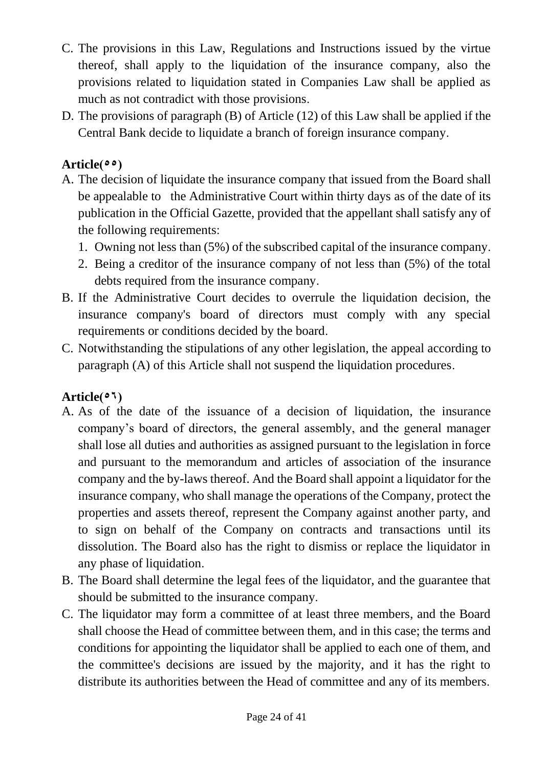- C. The provisions in this Law, Regulations and Instructions issued by the virtue thereof, shall apply to the liquidation of the insurance company, also the provisions related to liquidation stated in Companies Law shall be applied as much as not contradict with those provisions.
- D. The provisions of paragraph (B) of Article (12) of this Law shall be applied if the Central Bank decide to liquidate a branch of foreign insurance company.

### $Article (55)$

- A. The decision of liquidate the insurance company that issued from the Board shall be appealable to the Administrative Court within thirty days as of the date of its publication in the Official Gazette, provided that the appellant shall satisfy any of the following requirements:
	- 1. Owning not less than (5%) of the subscribed capital of the insurance company.
	- 2. Being a creditor of the insurance company of not less than (5%) of the total debts required from the insurance company.
- B. If the Administrative Court decides to overrule the liquidation decision, the insurance company's board of directors must comply with any special requirements or conditions decided by the board.
- C. Notwithstanding the stipulations of any other legislation, the appeal according to paragraph (A) of this Article shall not suspend the liquidation procedures.

### $Article(°<sup>1</sup>)$

- A. As of the date of the issuance of a decision of liquidation, the insurance company's board of directors, the general assembly, and the general manager shall lose all duties and authorities as assigned pursuant to the legislation in force and pursuant to the memorandum and articles of association of the insurance company and the by-laws thereof. And the Board shall appoint a liquidator for the insurance company, who shall manage the operations of the Company, protect the properties and assets thereof, represent the Company against another party, and to sign on behalf of the Company on contracts and transactions until its dissolution. The Board also has the right to dismiss or replace the liquidator in any phase of liquidation.
- B. The Board shall determine the legal fees of the liquidator, and the guarantee that should be submitted to the insurance company.
- C. The liquidator may form a committee of at least three members, and the Board shall choose the Head of committee between them, and in this case; the terms and conditions for appointing the liquidator shall be applied to each one of them, and the committee's decisions are issued by the majority, and it has the right to distribute its authorities between the Head of committee and any of its members.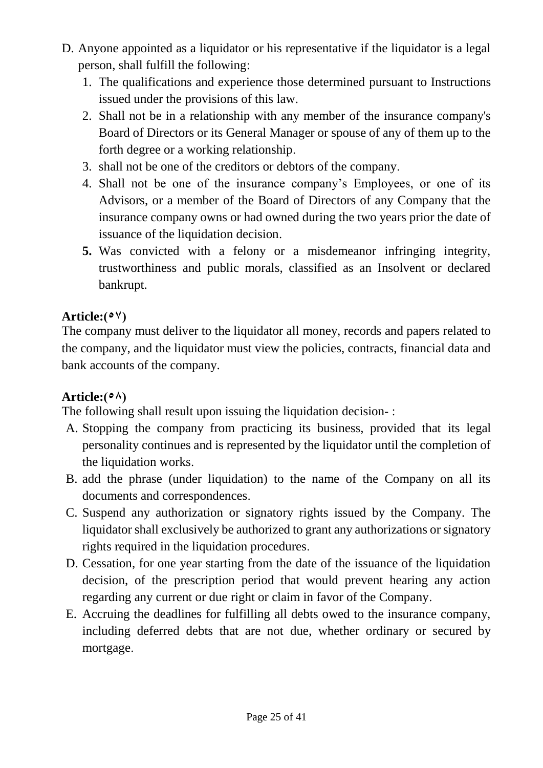- D. Anyone appointed as a liquidator or his representative if the liquidator is a legal person, shall fulfill the following:
	- 1. The qualifications and experience those determined pursuant to Instructions issued under the provisions of this law.
	- 2. Shall not be in a relationship with any member of the insurance company's Board of Directors or its General Manager or spouse of any of them up to the forth degree or a working relationship.
	- 3. shall not be one of the creditors or debtors of the company.
	- 4. Shall not be one of the insurance company's Employees, or one of its Advisors, or a member of the Board of Directors of any Company that the insurance company owns or had owned during the two years prior the date of issuance of the liquidation decision.
	- **5.** Was convicted with a felony or a misdemeanor infringing integrity, trustworthiness and public morals, classified as an Insolvent or declared bankrupt.

### $Article: (°<sup>V</sup>)$

The company must deliver to the liquidator all money, records and papers related to the company, and the liquidator must view the policies, contracts, financial data and bank accounts of the company.

### Article: $(° \land)$

The following shall result upon issuing the liquidation decision- :

- A. Stopping the company from practicing its business, provided that its legal personality continues and is represented by the liquidator until the completion of the liquidation works.
- B. add the phrase (under liquidation) to the name of the Company on all its documents and correspondences.
- C. Suspend any authorization or signatory rights issued by the Company. The liquidator shall exclusively be authorized to grant any authorizations or signatory rights required in the liquidation procedures.
- D. Cessation, for one year starting from the date of the issuance of the liquidation decision, of the prescription period that would prevent hearing any action regarding any current or due right or claim in favor of the Company.
- E. Accruing the deadlines for fulfilling all debts owed to the insurance company, including deferred debts that are not due, whether ordinary or secured by mortgage.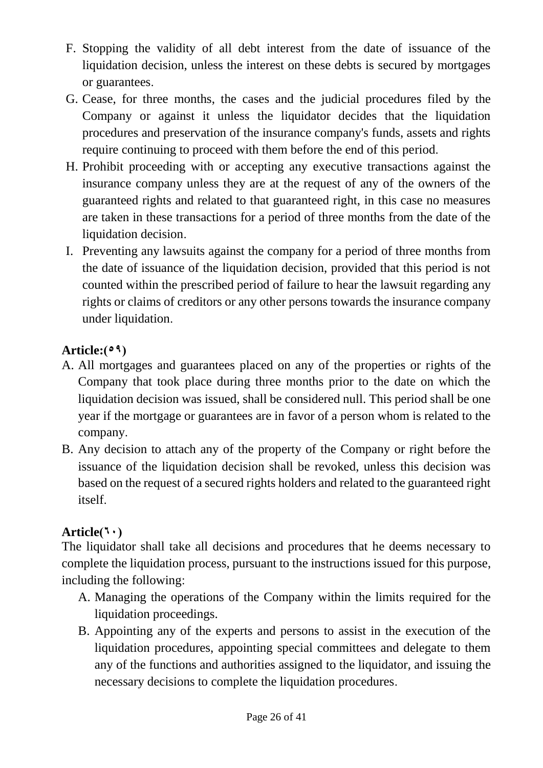- F. Stopping the validity of all debt interest from the date of issuance of the liquidation decision, unless the interest on these debts is secured by mortgages or guarantees.
- G. Cease, for three months, the cases and the judicial procedures filed by the Company or against it unless the liquidator decides that the liquidation procedures and preservation of the insurance company's funds, assets and rights require continuing to proceed with them before the end of this period.
- H. Prohibit proceeding with or accepting any executive transactions against the insurance company unless they are at the request of any of the owners of the guaranteed rights and related to that guaranteed right, in this case no measures are taken in these transactions for a period of three months from the date of the liquidation decision.
- I. Preventing any lawsuits against the company for a period of three months from the date of issuance of the liquidation decision, provided that this period is not counted within the prescribed period of failure to hear the lawsuit regarding any rights or claims of creditors or any other persons towards the insurance company under liquidation.

## Article: $(°<sup>9</sup>)$

- A. All mortgages and guarantees placed on any of the properties or rights of the Company that took place during three months prior to the date on which the liquidation decision was issued, shall be considered null. This period shall be one year if the mortgage or guarantees are in favor of a person whom is related to the company.
- B. Any decision to attach any of the property of the Company or right before the issuance of the liquidation decision shall be revoked, unless this decision was based on the request of a secured rights holders and related to the guaranteed right itself.

## $Article(5)$

The liquidator shall take all decisions and procedures that he deems necessary to complete the liquidation process, pursuant to the instructions issued for this purpose, including the following:

- A. Managing the operations of the Company within the limits required for the liquidation proceedings.
- B. Appointing any of the experts and persons to assist in the execution of the liquidation procedures, appointing special committees and delegate to them any of the functions and authorities assigned to the liquidator, and issuing the necessary decisions to complete the liquidation procedures.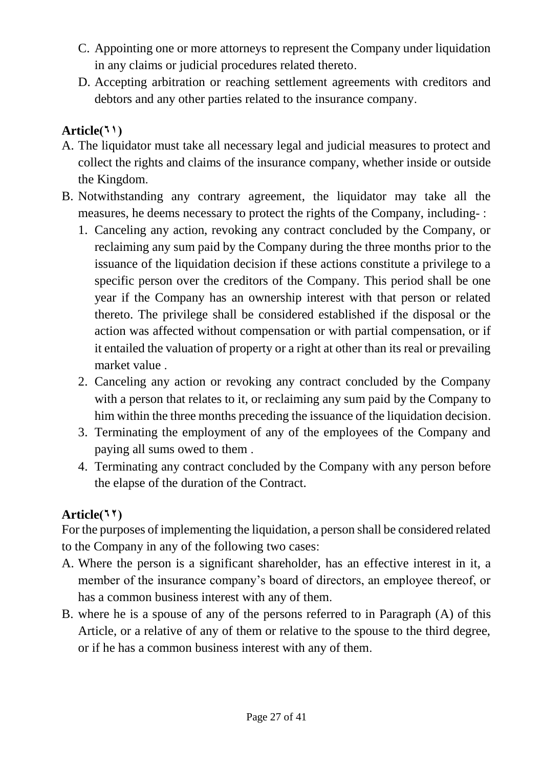- C. Appointing one or more attorneys to represent the Company under liquidation in any claims or judicial procedures related thereto.
- D. Accepting arbitration or reaching settlement agreements with creditors and debtors and any other parties related to the insurance company.

### $Article(1)$

- A. The liquidator must take all necessary legal and judicial measures to protect and collect the rights and claims of the insurance company, whether inside or outside the Kingdom.
- B. Notwithstanding any contrary agreement, the liquidator may take all the measures, he deems necessary to protect the rights of the Company, including- :
	- 1. Canceling any action, revoking any contract concluded by the Company, or reclaiming any sum paid by the Company during the three months prior to the issuance of the liquidation decision if these actions constitute a privilege to a specific person over the creditors of the Company. This period shall be one year if the Company has an ownership interest with that person or related thereto. The privilege shall be considered established if the disposal or the action was affected without compensation or with partial compensation, or if it entailed the valuation of property or a right at other than its real or prevailing market value .
	- 2. Canceling any action or revoking any contract concluded by the Company with a person that relates to it, or reclaiming any sum paid by the Company to him within the three months preceding the issuance of the liquidation decision.
	- 3. Terminating the employment of any of the employees of the Company and paying all sums owed to them .
	- 4. Terminating any contract concluded by the Company with any person before the elapse of the duration of the Contract.

### Article<sup>(11</sup>)

For the purposes of implementing the liquidation, a person shall be considered related to the Company in any of the following two cases:

- A. Where the person is a significant shareholder, has an effective interest in it, a member of the insurance company's board of directors, an employee thereof, or has a common business interest with any of them.
- B. where he is a spouse of any of the persons referred to in Paragraph (A) of this Article, or a relative of any of them or relative to the spouse to the third degree, or if he has a common business interest with any of them.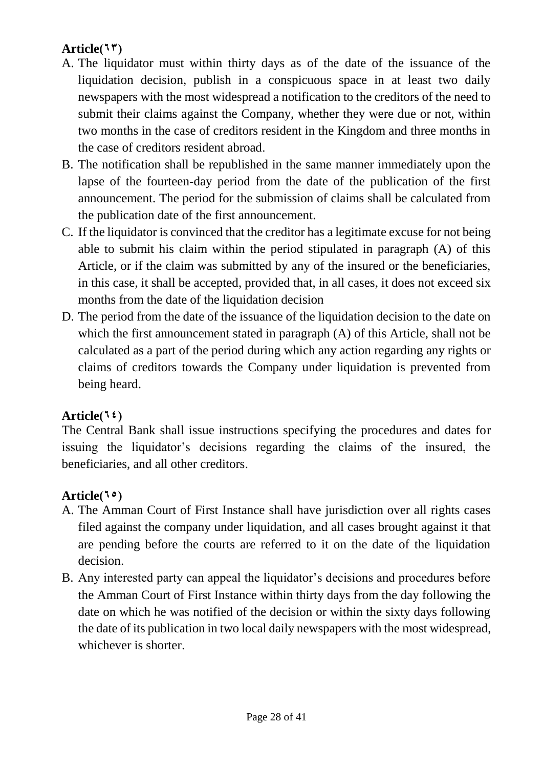## Article $(57)$

- A. The liquidator must within thirty days as of the date of the issuance of the liquidation decision, publish in a conspicuous space in at least two daily newspapers with the most widespread a notification to the creditors of the need to submit their claims against the Company, whether they were due or not, within two months in the case of creditors resident in the Kingdom and three months in the case of creditors resident abroad.
- B. The notification shall be republished in the same manner immediately upon the lapse of the fourteen-day period from the date of the publication of the first announcement. The period for the submission of claims shall be calculated from the publication date of the first announcement.
- C. If the liquidator is convinced that the creditor has a legitimate excuse for not being able to submit his claim within the period stipulated in paragraph (A) of this Article, or if the claim was submitted by any of the insured or the beneficiaries, in this case, it shall be accepted, provided that, in all cases, it does not exceed six months from the date of the liquidation decision
- D. The period from the date of the issuance of the liquidation decision to the date on which the first announcement stated in paragraph (A) of this Article, shall not be calculated as a part of the period during which any action regarding any rights or claims of creditors towards the Company under liquidation is prevented from being heard.

### $Article(1)$

The Central Bank shall issue instructions specifying the procedures and dates for issuing the liquidator's decisions regarding the claims of the insured, the beneficiaries, and all other creditors.

### Article<sup>(10</sup>)

- A. The Amman Court of First Instance shall have jurisdiction over all rights cases filed against the company under liquidation, and all cases brought against it that are pending before the courts are referred to it on the date of the liquidation decision.
- B. Any interested party can appeal the liquidator's decisions and procedures before the Amman Court of First Instance within thirty days from the day following the date on which he was notified of the decision or within the sixty days following the date of its publication in two local daily newspapers with the most widespread, whichever is shorter.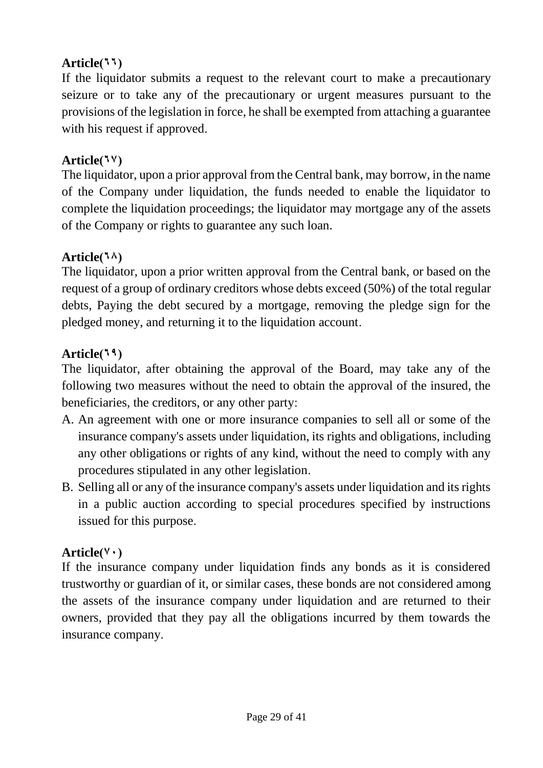### $Article(11)$

If the liquidator submits a request to the relevant court to make a precautionary seizure or to take any of the precautionary or urgent measures pursuant to the provisions of the legislation in force, he shall be exempted from attaching a guarantee with his request if approved.

#### $Article(7<sup>1</sup>)$

The liquidator, upon a prior approval from the Central bank, may borrow, in the name of the Company under liquidation, the funds needed to enable the liquidator to complete the liquidation proceedings; the liquidator may mortgage any of the assets of the Company or rights to guarantee any such loan.

#### $Article(5)$

The liquidator, upon a prior written approval from the Central bank, or based on the request of a group of ordinary creditors whose debts exceed (50%) of the total regular debts, Paying the debt secured by a mortgage, removing the pledge sign for the pledged money, and returning it to the liquidation account.

### $Article(19)$

The liquidator, after obtaining the approval of the Board, may take any of the following two measures without the need to obtain the approval of the insured, the beneficiaries, the creditors, or any other party:

- A. An agreement with one or more insurance companies to sell all or some of the insurance company's assets under liquidation, its rights and obligations, including any other obligations or rights of any kind, without the need to comply with any procedures stipulated in any other legislation.
- B. Selling all or any of the insurance company's assets under liquidation and its rights in a public auction according to special procedures specified by instructions issued for this purpose.

#### $Article(Y \cdot)$

If the insurance company under liquidation finds any bonds as it is considered trustworthy or guardian of it, or similar cases, these bonds are not considered among the assets of the insurance company under liquidation and are returned to their owners, provided that they pay all the obligations incurred by them towards the insurance company.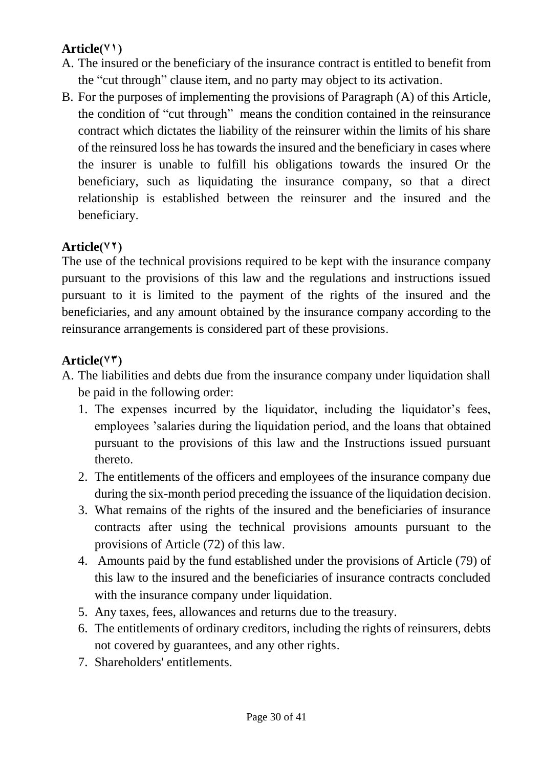### $Article(Y')$

- A. The insured or the beneficiary of the insurance contract is entitled to benefit from the "cut through" clause item, and no party may object to its activation.
- B. For the purposes of implementing the provisions of Paragraph (A) of this Article, the condition of "cut through" means the condition contained in the reinsurance contract which dictates the liability of the reinsurer within the limits of his share of the reinsured loss he has towards the insured and the beneficiary in cases where the insurer is unable to fulfill his obligations towards the insured Or the beneficiary, such as liquidating the insurance company, so that a direct relationship is established between the reinsurer and the insured and the beneficiary.

## Article(<sup> $\forall$ †</sup>)

The use of the technical provisions required to be kept with the insurance company pursuant to the provisions of this law and the regulations and instructions issued pursuant to it is limited to the payment of the rights of the insured and the beneficiaries, and any amount obtained by the insurance company according to the reinsurance arrangements is considered part of these provisions.

### $Article(VT)$

- A. The liabilities and debts due from the insurance company under liquidation shall be paid in the following order:
	- 1. The expenses incurred by the liquidator, including the liquidator's fees, employees 'salaries during the liquidation period, and the loans that obtained pursuant to the provisions of this law and the Instructions issued pursuant thereto.
	- 2. The entitlements of the officers and employees of the insurance company due during the six-month period preceding the issuance of the liquidation decision.
	- 3. What remains of the rights of the insured and the beneficiaries of insurance contracts after using the technical provisions amounts pursuant to the provisions of Article (72) of this law.
	- 4. Amounts paid by the fund established under the provisions of Article (79) of this law to the insured and the beneficiaries of insurance contracts concluded with the insurance company under liquidation.
	- 5. Any taxes, fees, allowances and returns due to the treasury.
	- 6. The entitlements of ordinary creditors, including the rights of reinsurers, debts not covered by guarantees, and any other rights.
	- 7. Shareholders' entitlements.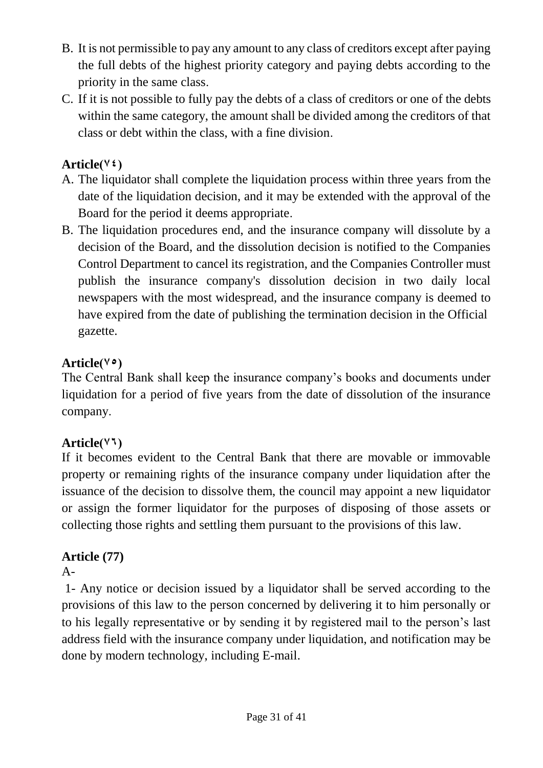- B. It is not permissible to pay any amount to any class of creditors except after paying the full debts of the highest priority category and paying debts according to the priority in the same class.
- C. If it is not possible to fully pay the debts of a class of creditors or one of the debts within the same category, the amount shall be divided among the creditors of that class or debt within the class, with a fine division.

### $Article(V<sub>2</sub>)$

- A. The liquidator shall complete the liquidation process within three years from the date of the liquidation decision, and it may be extended with the approval of the Board for the period it deems appropriate.
- B. The liquidation procedures end, and the insurance company will dissolute by a decision of the Board, and the dissolution decision is notified to the Companies Control Department to cancel its registration, and the Companies Controller must publish the insurance company's dissolution decision in two daily local newspapers with the most widespread, and the insurance company is deemed to have expired from the date of publishing the termination decision in the Official gazette.

### Article( $\vee$ <sup>o</sup>)

The Central Bank shall keep the insurance company's books and documents under liquidation for a period of five years from the date of dissolution of the insurance company.

## $Article(Y<sup>1</sup>)$

If it becomes evident to the Central Bank that there are movable or immovable property or remaining rights of the insurance company under liquidation after the issuance of the decision to dissolve them, the council may appoint a new liquidator or assign the former liquidator for the purposes of disposing of those assets or collecting those rights and settling them pursuant to the provisions of this law.

## **Article (77)**

### $A-$

1- Any notice or decision issued by a liquidator shall be served according to the provisions of this law to the person concerned by delivering it to him personally or to his legally representative or by sending it by registered mail to the person's last address field with the insurance company under liquidation, and notification may be done by modern technology, including E-mail.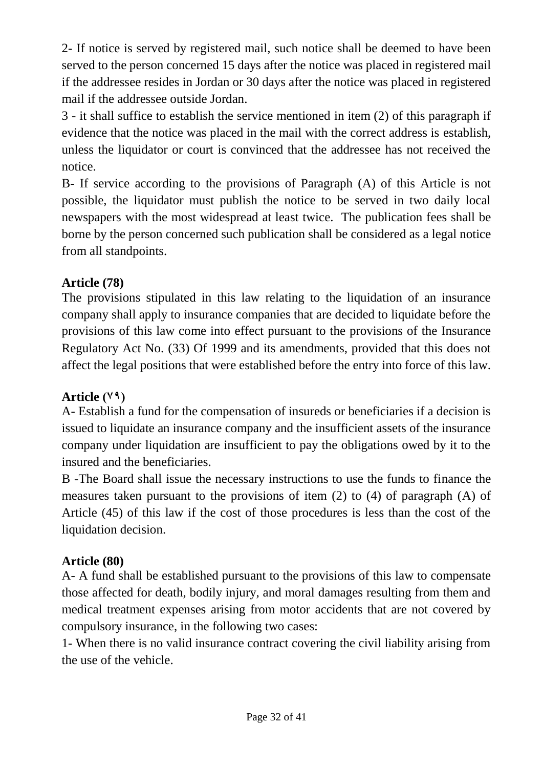2- If notice is served by registered mail, such notice shall be deemed to have been served to the person concerned 15 days after the notice was placed in registered mail if the addressee resides in Jordan or 30 days after the notice was placed in registered mail if the addressee outside Jordan.

3 - it shall suffice to establish the service mentioned in item (2) of this paragraph if evidence that the notice was placed in the mail with the correct address is establish, unless the liquidator or court is convinced that the addressee has not received the notice.

B- If service according to the provisions of Paragraph (A) of this Article is not possible, the liquidator must publish the notice to be served in two daily local newspapers with the most widespread at least twice. The publication fees shall be borne by the person concerned such publication shall be considered as a legal notice from all standpoints.

### **Article (78)**

The provisions stipulated in this law relating to the liquidation of an insurance company shall apply to insurance companies that are decided to liquidate before the provisions of this law come into effect pursuant to the provisions of the Insurance Regulatory Act No. (33) Of 1999 and its amendments, provided that this does not affect the legal positions that were established before the entry into force of this law.

### Article  $(1, 9)$

A- Establish a fund for the compensation of insureds or beneficiaries if a decision is issued to liquidate an insurance company and the insufficient assets of the insurance company under liquidation are insufficient to pay the obligations owed by it to the insured and the beneficiaries.

B -The Board shall issue the necessary instructions to use the funds to finance the measures taken pursuant to the provisions of item (2) to (4) of paragraph (A) of Article (45) of this law if the cost of those procedures is less than the cost of the liquidation decision.

### **Article (80)**

A- A fund shall be established pursuant to the provisions of this law to compensate those affected for death, bodily injury, and moral damages resulting from them and medical treatment expenses arising from motor accidents that are not covered by compulsory insurance, in the following two cases:

1- When there is no valid insurance contract covering the civil liability arising from the use of the vehicle.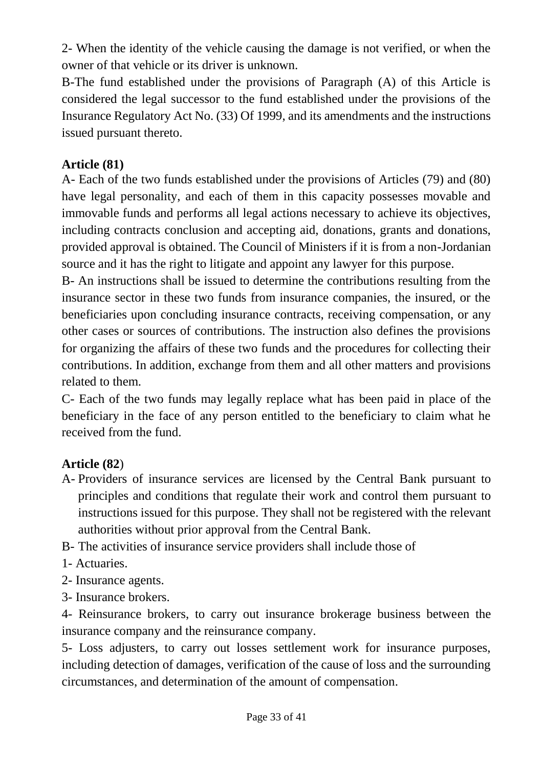2- When the identity of the vehicle causing the damage is not verified, or when the owner of that vehicle or its driver is unknown.

B-The fund established under the provisions of Paragraph (A) of this Article is considered the legal successor to the fund established under the provisions of the Insurance Regulatory Act No. (33) Of 1999, and its amendments and the instructions issued pursuant thereto.

#### **Article (81)**

A- Each of the two funds established under the provisions of Articles (79) and (80) have legal personality, and each of them in this capacity possesses movable and immovable funds and performs all legal actions necessary to achieve its objectives, including contracts conclusion and accepting aid, donations, grants and donations, provided approval is obtained. The Council of Ministers if it is from a non-Jordanian source and it has the right to litigate and appoint any lawyer for this purpose.

B- An instructions shall be issued to determine the contributions resulting from the insurance sector in these two funds from insurance companies, the insured, or the beneficiaries upon concluding insurance contracts, receiving compensation, or any other cases or sources of contributions. The instruction also defines the provisions for organizing the affairs of these two funds and the procedures for collecting their contributions. In addition, exchange from them and all other matters and provisions related to them.

C- Each of the two funds may legally replace what has been paid in place of the beneficiary in the face of any person entitled to the beneficiary to claim what he received from the fund.

#### **Article (82**)

A- Providers of insurance services are licensed by the Central Bank pursuant to principles and conditions that regulate their work and control them pursuant to instructions issued for this purpose. They shall not be registered with the relevant authorities without prior approval from the Central Bank.

B- The activities of insurance service providers shall include those of

- 1- Actuaries.
- 2- Insurance agents.
- 3- Insurance brokers.

4- Reinsurance brokers, to carry out insurance brokerage business between the insurance company and the reinsurance company.

5- Loss adjusters, to carry out losses settlement work for insurance purposes, including detection of damages, verification of the cause of loss and the surrounding circumstances, and determination of the amount of compensation.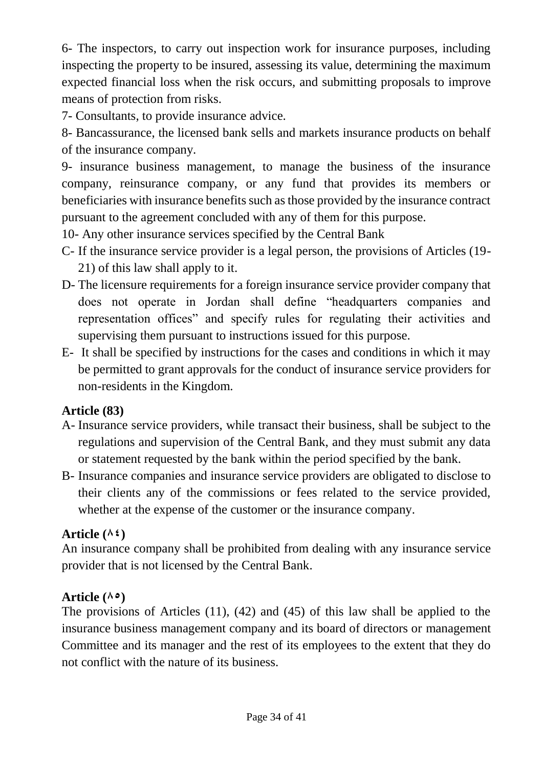6- The inspectors, to carry out inspection work for insurance purposes, including inspecting the property to be insured, assessing its value, determining the maximum expected financial loss when the risk occurs, and submitting proposals to improve means of protection from risks.

7- Consultants, to provide insurance advice.

8- Bancassurance, the licensed bank sells and markets insurance products on behalf of the insurance company.

9- insurance business management, to manage the business of the insurance company, reinsurance company, or any fund that provides its members or beneficiaries with insurance benefits such as those provided by the insurance contract pursuant to the agreement concluded with any of them for this purpose.

10- Any other insurance services specified by the Central Bank

- C- If the insurance service provider is a legal person, the provisions of Articles (19- 21) of this law shall apply to it.
- D- The licensure requirements for a foreign insurance service provider company that does not operate in Jordan shall define "headquarters companies and representation offices" and specify rules for regulating their activities and supervising them pursuant to instructions issued for this purpose.
- E- It shall be specified by instructions for the cases and conditions in which it may be permitted to grant approvals for the conduct of insurance service providers for non-residents in the Kingdom.

## **Article (83)**

- A- Insurance service providers, while transact their business, shall be subject to the regulations and supervision of the Central Bank, and they must submit any data or statement requested by the bank within the period specified by the bank.
- B- Insurance companies and insurance service providers are obligated to disclose to their clients any of the commissions or fees related to the service provided, whether at the expense of the customer or the insurance company.

# Article  $(A<sup>2</sup>)$

An insurance company shall be prohibited from dealing with any insurance service provider that is not licensed by the Central Bank.

# Article  $(A \circ)$

The provisions of Articles (11), (42) and (45) of this law shall be applied to the insurance business management company and its board of directors or management Committee and its manager and the rest of its employees to the extent that they do not conflict with the nature of its business.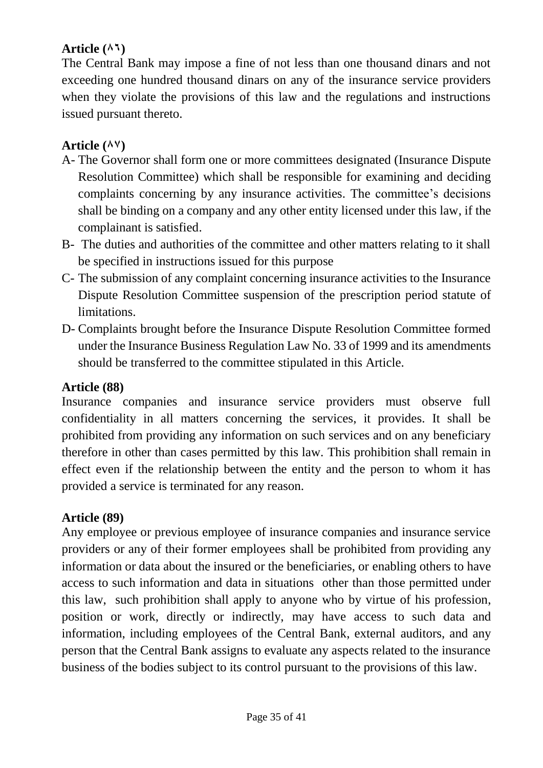#### Article ( $\wedge$ <sup>1</sup>)

The Central Bank may impose a fine of not less than one thousand dinars and not exceeding one hundred thousand dinars on any of the insurance service providers when they violate the provisions of this law and the regulations and instructions issued pursuant thereto.

#### Article (AV)

- A- The Governor shall form one or more committees designated (Insurance Dispute Resolution Committee) which shall be responsible for examining and deciding complaints concerning by any insurance activities. The committee's decisions shall be binding on a company and any other entity licensed under this law, if the complainant is satisfied.
- B- The duties and authorities of the committee and other matters relating to it shall be specified in instructions issued for this purpose
- C- The submission of any complaint concerning insurance activities to the Insurance Dispute Resolution Committee suspension of the prescription period statute of limitations.
- D- Complaints brought before the Insurance Dispute Resolution Committee formed under the Insurance Business Regulation Law No. 33 of 1999 and its amendments should be transferred to the committee stipulated in this Article.

#### **Article (88)**

Insurance companies and insurance service providers must observe full confidentiality in all matters concerning the services, it provides. It shall be prohibited from providing any information on such services and on any beneficiary therefore in other than cases permitted by this law. This prohibition shall remain in effect even if the relationship between the entity and the person to whom it has provided a service is terminated for any reason.

#### **Article (89)**

Any employee or previous employee of insurance companies and insurance service providers or any of their former employees shall be prohibited from providing any information or data about the insured or the beneficiaries, or enabling others to have access to such information and data in situations other than those permitted under this law, such prohibition shall apply to anyone who by virtue of his profession, position or work, directly or indirectly, may have access to such data and information, including employees of the Central Bank, external auditors, and any person that the Central Bank assigns to evaluate any aspects related to the insurance business of the bodies subject to its control pursuant to the provisions of this law.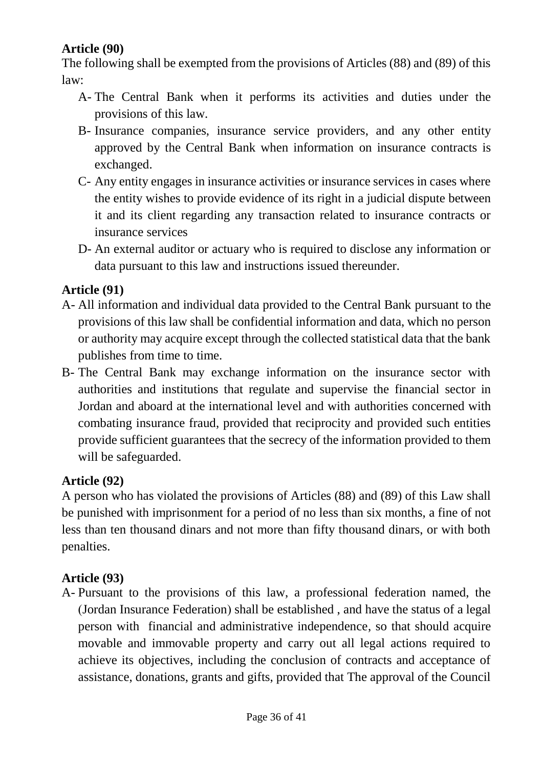### **Article (90)**

The following shall be exempted from the provisions of Articles (88) and (89) of this law:

- A- The Central Bank when it performs its activities and duties under the provisions of this law.
- B- Insurance companies, insurance service providers, and any other entity approved by the Central Bank when information on insurance contracts is exchanged.
- C- Any entity engages in insurance activities or insurance services in cases where the entity wishes to provide evidence of its right in a judicial dispute between it and its client regarding any transaction related to insurance contracts or insurance services
- D- An external auditor or actuary who is required to disclose any information or data pursuant to this law and instructions issued thereunder.

#### **Article (91)**

- A- All information and individual data provided to the Central Bank pursuant to the provisions of this law shall be confidential information and data, which no person or authority may acquire except through the collected statistical data that the bank publishes from time to time.
- B- The Central Bank may exchange information on the insurance sector with authorities and institutions that regulate and supervise the financial sector in Jordan and aboard at the international level and with authorities concerned with combating insurance fraud, provided that reciprocity and provided such entities provide sufficient guarantees that the secrecy of the information provided to them will be safeguarded.

#### **Article (92)**

A person who has violated the provisions of Articles (88) and (89) of this Law shall be punished with imprisonment for a period of no less than six months, a fine of not less than ten thousand dinars and not more than fifty thousand dinars, or with both penalties.

#### **Article (93)**

A- Pursuant to the provisions of this law, a professional federation named, the (Jordan Insurance Federation) shall be established, and have the status of a legal person with financial and administrative independence, so that should acquire movable and immovable property and carry out all legal actions required to achieve its objectives, including the conclusion of contracts and acceptance of assistance, donations, grants and gifts, provided that The approval of the Council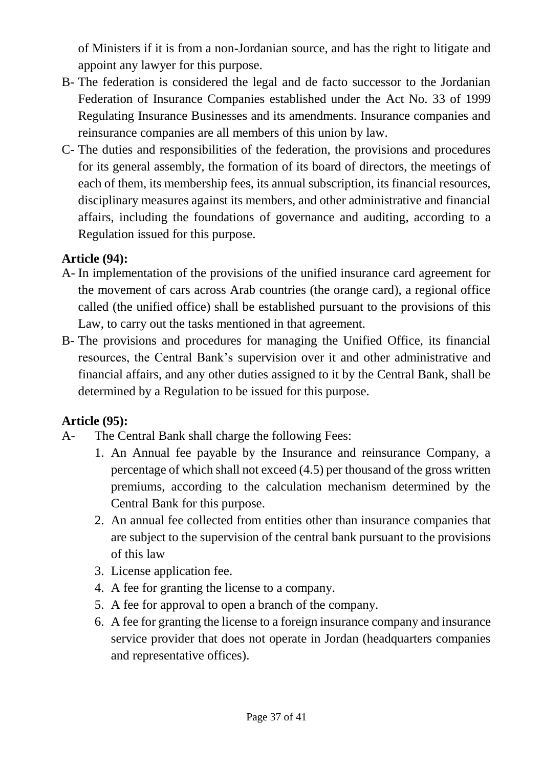of Ministers if it is from a non-Jordanian source, and has the right to litigate and appoint any lawyer for this purpose.

- B- The federation is considered the legal and de facto successor to the Jordanian Federation of Insurance Companies established under the Act No. 33 of 1999 Regulating Insurance Businesses and its amendments. Insurance companies and reinsurance companies are all members of this union by law.
- C- The duties and responsibilities of the federation, the provisions and procedures for its general assembly, the formation of its board of directors, the meetings of each of them, its membership fees, its annual subscription, its financial resources, disciplinary measures against its members, and other administrative and financial affairs, including the foundations of governance and auditing, according to a Regulation issued for this purpose.

### **Article (94):**

- A- In implementation of the provisions of the unified insurance card agreement for the movement of cars across Arab countries (the orange card), a regional office called (the unified office) shall be established pursuant to the provisions of this Law, to carry out the tasks mentioned in that agreement.
- B- The provisions and procedures for managing the Unified Office, its financial resources, the Central Bank's supervision over it and other administrative and financial affairs, and any other duties assigned to it by the Central Bank, shall be determined by a Regulation to be issued for this purpose.

### **Article (95):**

- A- The Central Bank shall charge the following Fees:
	- 1. An Annual fee payable by the Insurance and reinsurance Company, a percentage of which shall not exceed (4.5) per thousand of the gross written premiums, according to the calculation mechanism determined by the Central Bank for this purpose.
	- 2. An annual fee collected from entities other than insurance companies that are subject to the supervision of the central bank pursuant to the provisions of this law
	- 3. License application fee.
	- 4. A fee for granting the license to a company.
	- 5. A fee for approval to open a branch of the company.
	- 6. A fee for granting the license to a foreign insurance company and insurance service provider that does not operate in Jordan (headquarters companies and representative offices).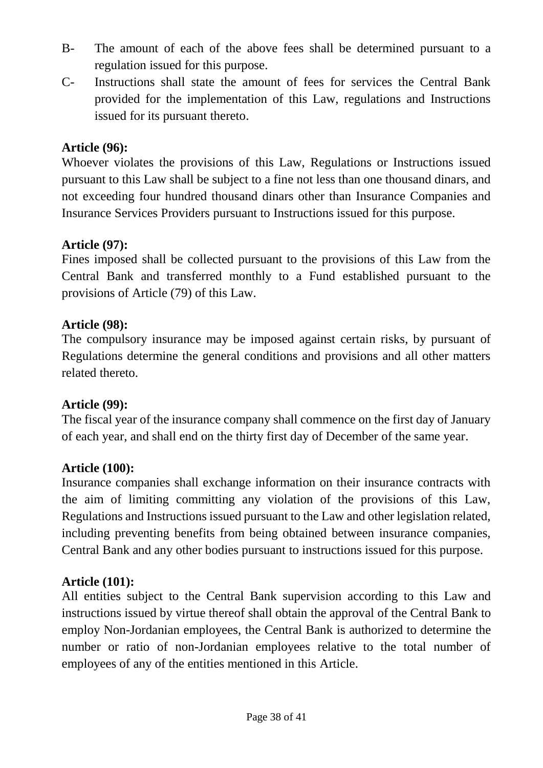- B- The amount of each of the above fees shall be determined pursuant to a regulation issued for this purpose.
- C- Instructions shall state the amount of fees for services the Central Bank provided for the implementation of this Law, regulations and Instructions issued for its pursuant thereto.

#### **Article (96):**

Whoever violates the provisions of this Law, Regulations or Instructions issued pursuant to this Law shall be subject to a fine not less than one thousand dinars, and not exceeding four hundred thousand dinars other than Insurance Companies and Insurance Services Providers pursuant to Instructions issued for this purpose.

#### **Article (97):**

Fines imposed shall be collected pursuant to the provisions of this Law from the Central Bank and transferred monthly to a Fund established pursuant to the provisions of Article (79) of this Law.

#### **Article (98):**

The compulsory insurance may be imposed against certain risks, by pursuant of Regulations determine the general conditions and provisions and all other matters related thereto.

#### **Article (99):**

The fiscal year of the insurance company shall commence on the first day of January of each year, and shall end on the thirty first day of December of the same year.

#### **Article (100):**

Insurance companies shall exchange information on their insurance contracts with the aim of limiting committing any violation of the provisions of this Law, Regulations and Instructions issued pursuant to the Law and other legislation related, including preventing benefits from being obtained between insurance companies, Central Bank and any other bodies pursuant to instructions issued for this purpose.

#### **Article (101):**

All entities subject to the Central Bank supervision according to this Law and instructions issued by virtue thereof shall obtain the approval of the Central Bank to employ Non-Jordanian employees, the Central Bank is authorized to determine the number or ratio of non-Jordanian employees relative to the total number of employees of any of the entities mentioned in this Article.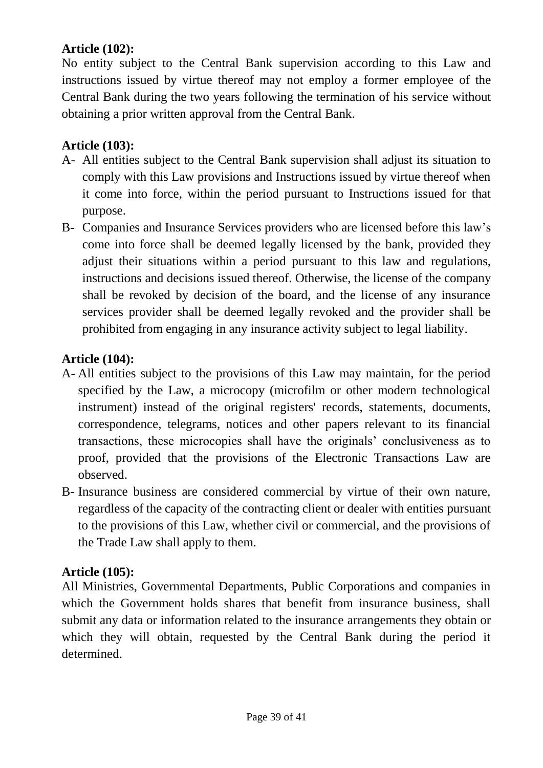#### **Article (102):**

No entity subject to the Central Bank supervision according to this Law and instructions issued by virtue thereof may not employ a former employee of the Central Bank during the two years following the termination of his service without obtaining a prior written approval from the Central Bank.

#### **Article (103):**

- A- All entities subject to the Central Bank supervision shall adjust its situation to comply with this Law provisions and Instructions issued by virtue thereof when it come into force, within the period pursuant to Instructions issued for that purpose.
- B- Companies and Insurance Services providers who are licensed before this law's come into force shall be deemed legally licensed by the bank, provided they adjust their situations within a period pursuant to this law and regulations, instructions and decisions issued thereof. Otherwise, the license of the company shall be revoked by decision of the board, and the license of any insurance services provider shall be deemed legally revoked and the provider shall be prohibited from engaging in any insurance activity subject to legal liability.

#### **Article (104):**

- A- All entities subject to the provisions of this Law may maintain, for the period specified by the Law, a microcopy (microfilm or other modern technological instrument) instead of the original registers' records, statements, documents, correspondence, telegrams, notices and other papers relevant to its financial transactions, these microcopies shall have the originals' conclusiveness as to proof, provided that the provisions of the Electronic Transactions Law are observed.
- B- Insurance business are considered commercial by virtue of their own nature, regardless of the capacity of the contracting client or dealer with entities pursuant to the provisions of this Law, whether civil or commercial, and the provisions of the Trade Law shall apply to them.

### **Article (105):**

All Ministries, Governmental Departments, Public Corporations and companies in which the Government holds shares that benefit from insurance business, shall submit any data or information related to the insurance arrangements they obtain or which they will obtain, requested by the Central Bank during the period it determined.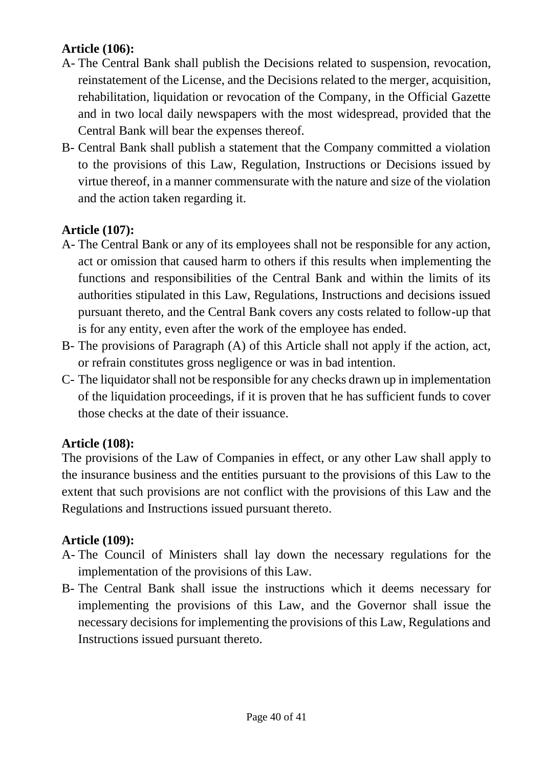### **Article (106):**

- A- The Central Bank shall publish the Decisions related to suspension, revocation, reinstatement of the License, and the Decisions related to the merger, acquisition, rehabilitation, liquidation or revocation of the Company, in the Official Gazette and in two local daily newspapers with the most widespread, provided that the Central Bank will bear the expenses thereof.
- B- Central Bank shall publish a statement that the Company committed a violation to the provisions of this Law, Regulation, Instructions or Decisions issued by virtue thereof, in a manner commensurate with the nature and size of the violation and the action taken regarding it.

### **Article (107):**

- A- The Central Bank or any of its employees shall not be responsible for any action, act or omission that caused harm to others if this results when implementing the functions and responsibilities of the Central Bank and within the limits of its authorities stipulated in this Law, Regulations, Instructions and decisions issued pursuant thereto, and the Central Bank covers any costs related to follow-up that is for any entity, even after the work of the employee has ended.
- B- The provisions of Paragraph (A) of this Article shall not apply if the action, act, or refrain constitutes gross negligence or was in bad intention.
- C- The liquidator shall not be responsible for any checks drawn up in implementation of the liquidation proceedings, if it is proven that he has sufficient funds to cover those checks at the date of their issuance.

### **Article (108):**

The provisions of the Law of Companies in effect, or any other Law shall apply to the insurance business and the entities pursuant to the provisions of this Law to the extent that such provisions are not conflict with the provisions of this Law and the Regulations and Instructions issued pursuant thereto.

### **Article (109):**

- A- The Council of Ministers shall lay down the necessary regulations for the implementation of the provisions of this Law.
- B- The Central Bank shall issue the instructions which it deems necessary for implementing the provisions of this Law, and the Governor shall issue the necessary decisions for implementing the provisions of this Law, Regulations and Instructions issued pursuant thereto.